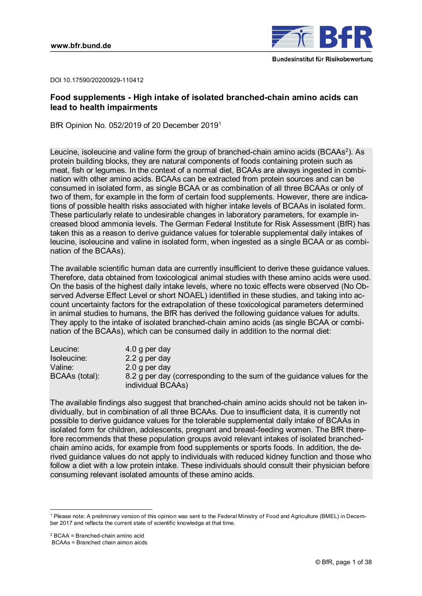

DOI 10.17590/20200929-110412

# **Food supplements - High intake of isolated branched-chain amino acids can lead to health impairments**

BfR Opinion No. 052/2019 of 20 December 2019[1](#page-0-0)

Leucine, isoleucine and valine form the group of branched-chain amino acids (BCAAs $^2$  $^2$ ). As protein building blocks, they are natural components of foods containing protein such as meat, fish or legumes. In the context of a normal diet, BCAAs are always ingested in combination with other amino acids. BCAAs can be extracted from protein sources and can be consumed in isolated form, as single BCAA or as combination of all three BCAAs or only of two of them, for example in the form of certain food supplements. However, there are indications of possible health risks associated with higher intake levels of BCAAs in isolated form. These particularly relate to undesirable changes in laboratory parameters, for example increased blood ammonia levels. The German Federal Institute for Risk Assessment (BfR) has taken this as a reason to derive guidance values for tolerable supplemental daily intakes of leucine, isoleucine and valine in isolated form, when ingested as a single BCAA or as combination of the BCAAs).

The available scientific human data are currently insufficient to derive these guidance values. Therefore, data obtained from toxicological animal studies with these amino acids were used. On the basis of the highest daily intake levels, where no toxic effects were observed (No Observed Adverse Effect Level or short NOAEL) identified in these studies, and taking into account uncertainty factors for the extrapolation of these toxicological parameters determined in animal studies to humans, the BfR has derived the following guidance values for adults. They apply to the intake of isolated branched-chain amino acids (as single BCAA or combination of the BCAAs), which can be consumed daily in addition to the normal diet:

| Leucine:       | 4.0 g per day                                                                               |
|----------------|---------------------------------------------------------------------------------------------|
| Isoleucine:    | 2.2 g per day                                                                               |
| Valine:        | 2.0 g per day                                                                               |
| BCAAs (total): | 8.2 g per day (corresponding to the sum of the guidance values for the<br>individual BCAAs) |

The available findings also suggest that branched-chain amino acids should not be taken individually, but in combination of all three BCAAs. Due to insufficient data, it is currently not possible to derive guidance values for the tolerable supplemental daily intake of BCAAs in isolated form for children, adolescents, pregnant and breast-feeding women. The BfR therefore recommends that these population groups avoid relevant intakes of isolated branchedchain amino acids, for example from food supplements or sports foods. In addition, the derived guidance values do not apply to individuals with reduced kidney function and those who follow a diet with a low protein intake. These individuals should consult their physician before consuming relevant isolated amounts of these amino acids.

<span id="page-0-0"></span><sup>-</sup><sup>1</sup> Please note: A preliminary version of this opinion was sent to the Federal Ministry of Food and Agriculture (BMEL) in December 2017 and reflects the current state of scientific knowledge at that time.

<span id="page-0-1"></span> $2$  BCAA = Branched-chain amino acid

BCAAs = Branched chain aimon aicds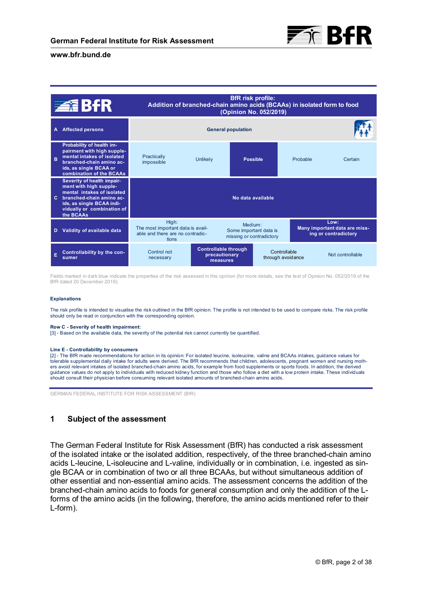

#### **BfR risk profile: BfR risk profile:**  BfR **Addition of branched-chain amino acids (BCAAs) in isolated form to food Addition of branched-chain amino (Opinion No. 052/2019) (Opinion 052/2019) A Affected persons General population Affected persons Probability of health impairment with high supple-with high** Practically<br>impossible **mental intakes of isolated isolated Possible B B**  impossible Unlikely **Possible** Probable Certain **branched-chain amino ac-amino acids, as single BCAA or ids, as single or combination of the BCAAs Severity of health impair-Severity ment with high supple-with mental intakes of isolated isolated C C branched-chain amino ac-amino ac-No data available available ids, as single BCAA indi-ids, as single vidually or combination of of the BCAAs BCAAs**  High: **Low: Low:**  Medium: The most important data is avail-Some important data is **Many important data are miss-Many D Validity of available data available data**  able and there are no contradic**ing or contradictory ing contradictory**  missing or contradictory tions **Controllable through through**  Control not **Controllable <sup>E</sup>Controllability by the con-<sup>E</sup>thesumer**  Controllable<br>through avoidance Not controllable **precautionary precautionary sumer** necessary **measures measures**

Fields marked in dark blue indicate the properties of the risk assessed in this opinion (for more details, see the text of Opinion No. 052/2019 of the BfR dated 20 December 2019).

#### **Explanations**

The risk profile is intended to visualise the risk outlined in the BfR opinion. The profile is not intended to be used to compare risks. The risk profile should only be read in conjunction with the corresponding opinion.

#### **Row C - Severity of health impairment:**

[3] - Based on the available data, the severity of the potential risk cannot currently be quantified.

#### **Line E - Controllability by consumers**

[2] - The BfR made recommendations for action in its opinion: For isolated leucine, isoleucine, valine and BCAAs intakes, guidance values for tolerable supplemental daily intake for adults were derived. The BfR recommends that children, adolescents, pregnant women and nursing mothers avoid relevant intakes of isolated branched-chain amino acids, for example from food supplements or sports foods. In addition, the derived guidance values do not apply to individuals with reduced kidney function and those who follow a diet with a low protein intake. These individuals should consult their physician before consuming relevant isolated amounts of branched-chain amino acids.

GERMAN FEDERAL INSTITUTE FOR RISK ASSESSMENT (BfR)

### **1 Subject of the assessment**

The German Federal Institute for Risk Assessment (BfR) has conducted a risk assessment of the isolated intake or the isolated addition, respectively, of the three branched-chain amino acids L-leucine, L-isoleucine and L-valine, individually or in combination, i.e. ingested as single BCAA or in combination of two or all three BCAAs, but without simultaneous addition of other essential and non-essential amino acids. The assessment concerns the addition of the branched-chain amino acids to foods for general consumption and only the addition of the Lforms of the amino acids (in the following, therefore, the amino acids mentioned refer to their L-form).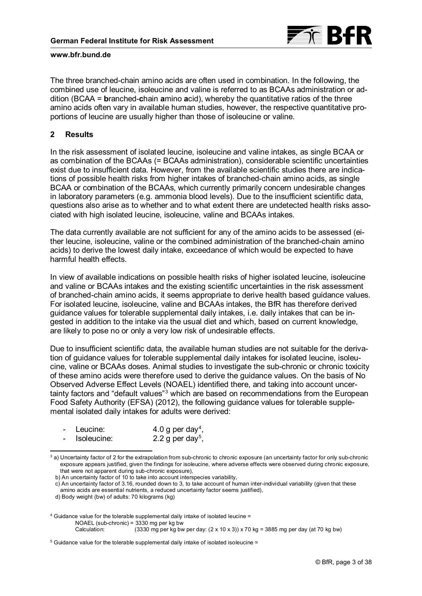

The three branched-chain amino acids are often used in combination. In the following, the combined use of leucine, isoleucine and valine is referred to as BCAAs administration or addition (BCAA = **b**ranched-**c**hain **a**mino **a**cid), whereby the quantitative ratios of the three amino acids often vary in available human studies, however, the respective quantitative proportions of leucine are usually higher than those of isoleucine or valine.

### **2 Results**

In the risk assessment of isolated leucine, isoleucine and valine intakes, as single BCAA or as combination of the BCAAs (= BCAAs administration), considerable scientific uncertainties exist due to insufficient data. However, from the available scientific studies there are indications of possible health risks from higher intakes of branched-chain amino acids, as single BCAA or combination of the BCAAs, which currently primarily concern undesirable changes in laboratory parameters (e.g. ammonia blood levels). Due to the insufficient scientific data, questions also arise as to whether and to what extent there are undetected health risks associated with high isolated leucine, isoleucine, valine and BCAAs intakes.

The data currently available are not sufficient for any of the amino acids to be assessed (either leucine, isoleucine, valine or the combined administration of the branched-chain amino acids) to derive the lowest daily intake, exceedance of which would be expected to have harmful health effects.

In view of available indications on possible health risks of higher isolated leucine, isoleucine and valine or BCAAs intakes and the existing scientific uncertainties in the risk assessment of branched-chain amino acids, it seems appropriate to derive health based guidance values. For isolated leucine, isoleucine, valine and BCAAs intakes, the BfR has therefore derived guidance values for tolerable supplemental daily intakes, i.e. daily intakes that can be ingested in addition to the intake via the usual diet and which, based on current knowledge, are likely to pose no or only a very low risk of undesirable effects.

Due to insufficient scientific data, the available human studies are not suitable for the derivation of guidance values for tolerable supplemental daily intakes for isolated leucine, isoleucine, valine or BCAAs doses. Animal studies to investigate the sub-chronic or chronic toxicity of these amino acids were therefore used to derive the guidance values. On the basis of No Observed Adverse Effect Levels (NOAEL) identified there, and taking into account uncertainty factors and "default values" $^{\rm 3}$  $^{\rm 3}$  $^{\rm 3}$  which are based on recommendations from the European Food Safety Authority (EFSA) (2012), the following guidance values for tolerable supplemental isolated daily intakes for adults were derived:

|  | Leucine: | 4.0 g per day <sup>4</sup> , |
|--|----------|------------------------------|
|--|----------|------------------------------|

- Isoleucine:  $2.2 g$  per day<sup>[5](#page-2-2)</sup>,

<span id="page-2-0"></span><sup>-</sup><sup>3</sup> a) Uncertainty factor of 2 for the extrapolation from sub-chronic to chronic exposure (an uncertainty factor for only sub-chronic exposure appears justified, given the findings for isoleucine, where adverse effects were observed during chronic exposure, that were not apparent during sub-chronic exposure),

b) An uncertainty factor of 10 to take into account interspecies variability,

c) An uncertainty factor of 3.16, rounded down to 3, to take account of human inter-individual variability (given that these amino acids are essential nutrients, a reduced uncertainty factor seems justified),

d) Body weight (bw) of adults: 70 kilograms (kg)

<span id="page-2-1"></span><sup>4</sup> Guidance value for the tolerable supplemental daily intake of isolated leucine = NOAEL (sub-chronic) = 3330 mg per kg bw Calculation: (3330 mg per kg bw per day:  $(2 \times 10 \times 3)$ ) x 70 kg = 3885 mg per day (at 70 kg bw)

<span id="page-2-2"></span><sup>5</sup> Guidance value for the tolerable supplemental daily intake of isolated isoleucine =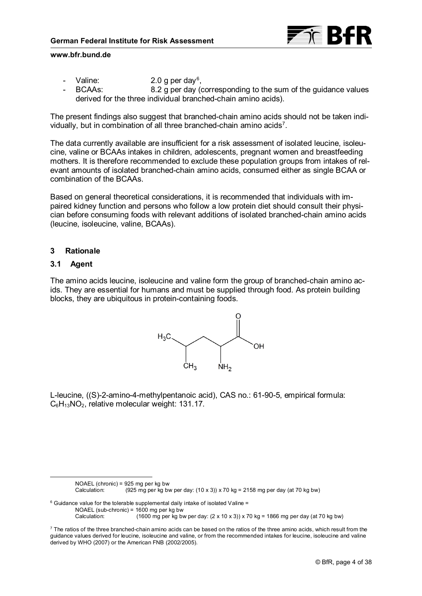

- Valine:  $2.0 g$  per day<sup>[6](#page-3-0)</sup>,
- BCAAs: 8.2 g per day (corresponding to the sum of the guidance values derived for the three individual branched-chain amino acids).

The present findings also suggest that branched-chain amino acids should not be taken indi-vidually, but in combination of all three branched-chain amino acids<sup>[7](#page-3-1)</sup>.

The data currently available are insufficient for a risk assessment of isolated leucine, isoleucine, valine or BCAAs intakes in children, adolescents, pregnant women and breastfeeding mothers. It is therefore recommended to exclude these population groups from intakes of relevant amounts of isolated branched-chain amino acids, consumed either as single BCAA or combination of the BCAAs.

Based on general theoretical considerations, it is recommended that individuals with impaired kidney function and persons who follow a low protein diet should consult their physician before consuming foods with relevant additions of isolated branched-chain amino acids (leucine, isoleucine, valine, BCAAs).

# **3 Rationale**

### **3.1 Agent**

The amino acids leucine, isoleucine and valine form the group of branched-chain amino acids. They are essential for humans and must be supplied through food. As protein building blocks, they are ubiquitous in protein-containing foods.



L-leucine, ((S)-2-amino-4-methylpentanoic acid), CAS no.: 61-90-5, empirical formula: C<sub>6</sub>H<sub>13</sub>NO<sub>2</sub>, relative molecular weight: 131.17.

<span id="page-3-0"></span> $6$  Guidance value for the tolerable supplemental daily intake of isolated Valine = NOAEL (sub-chronic) = 1600 mg per kg bw  $(1600 \text{ mg per kg bw per day: } (2 \times 10 \times 3)) \times 70 \text{ kg} = 1866 \text{ mg per day (at 70 kg bw)}$ 

NOAEL (chronic) = 925 mg per kg bw  $(925 \text{ mg per kg bw per day: } (10 \times 3)) \times 70 \text{ kg} = 2158 \text{ mg per day (at 70 kg bw)}$ 

<span id="page-3-1"></span> $7$  The ratios of the three branched-chain amino acids can be based on the ratios of the three amino acids, which result from the guidance values derived for leucine, isoleucine and valine, or from the recommended intakes for leucine, isoleucine and valine derived by WHO (2007) or the American FNB (2002/2005).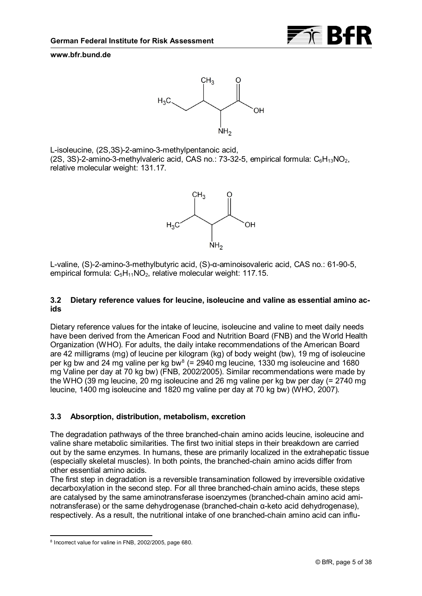

<span id="page-4-1"></span>L-isoleucine, (2S,3S)-2-amino-3-methylpentanoic acid, (2S, 3S)-2-amino-3-methylvaleric acid, CAS no.: 73-32-5, empirical formula:  $C_6H_{13}NO_2$ , relative molecular weight: 131.17.



L-valine, (S)-2-amino-3-methylbutyric acid, (S)-α-aminoisovaleric acid, CAS no.: 61-90-5, empirical formula:  $C_5H_{11}NO_2$ , relative molecular weight: 117.15.

# **3.2 Dietary reference values for leucine, isoleucine and valine as essential amino acids**

Dietary reference values for the intake of leucine, isoleucine and valine to meet daily needs have been derived from the American Food and Nutrition Board (FNB) and the World Health Organization (WHO). For adults, the daily intake recommendations of the American Board are 42 milligrams (mg) of leucine per kilogram (kg) of body weight (bw), 19 mg of isoleucine per kg bw and 24 mg valine per kg bw $^{\text{\tiny{8}}}$  $^{\text{\tiny{8}}}$  $^{\text{\tiny{8}}}$  (= 2940 mg leucine, 1330 mg isoleucine and 1680 mg Valine per day at 70 kg bw) (FNB, 2002/2005). Similar recommendations were made by the WHO (39 mg leucine, 20 mg isoleucine and 26 mg valine per kg bw per day (= 2740 mg leucine, 1400 mg isoleucine and 1820 mg valine per day at 70 kg bw) (WHO, 2007).

# **3.3 Absorption, distribution, metabolism, excretion**

The degradation pathways of the three branched-chain amino acids leucine, isoleucine and valine share metabolic similarities. The first two initial steps in their breakdown are carried out by the same enzymes. In humans, these are primarily localized in the extrahepatic tissue (especially skeletal muscles). In both points, the branched-chain amino acids differ from other essential amino acids.

The first step in degradation is a reversible transamination followed by irreversible oxidative decarboxylation in the second step. For all three branched-chain amino acids, these steps are catalysed by the same aminotransferase isoenzymes (branched-chain amino acid aminotransferase) or the same dehydrogenase (branched-chain α-keto acid dehydrogenase), respectively. As a result, the nutritional intake of one branched-chain amino acid can influ-

<span id="page-4-0"></span><sup>-</sup><sup>8</sup> Incorrect value for valine in FNB, 2002/2005, page 680.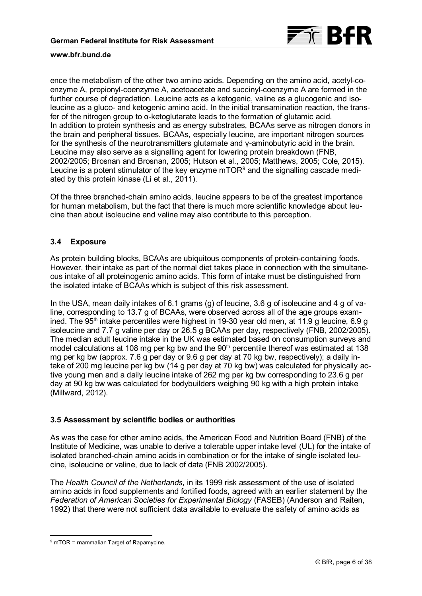

ence the metabolism of the other two amino acids. Depending on the amino acid, acetyl-coenzyme A, propionyl-coenzyme A, acetoacetate and succinyl-coenzyme A are formed in the further course of degradation. Leucine acts as a ketogenic, valine as a glucogenic and isoleucine as a gluco- and ketogenic amino acid. In the initial transamination reaction, the transfer of the nitrogen group to α-ketoglutarate leads to the formation of glutamic acid. In addition to protein synthesis and as energy substrates, BCAAs serve as nitrogen donors in the brain and peripheral tissues. BCAAs, especially leucine, are important nitrogen sources for the synthesis of the neurotransmitters glutamate and γ-aminobutyric acid in the brain. Leucine may also serve as a signalling agent for lowering protein breakdown (FNB, 2002/2005; Brosnan and Brosnan, 2005; Hutson et al., 2005; Matthews, 2005; Cole, 2015). Leucine is a potent stimulator of the key enzyme mTOR $^{\rm 9}$  and the signalling cascade mediated by this protein kinase (Li et al., 2011).

Of the three branched-chain amino acids, leucine appears to be of the greatest importance for human metabolism, but the fact that there is much more scientific knowledge about leucine than about isoleucine and valine may also contribute to this perception.

# **3.4 Exposure**

As protein building blocks, BCAAs are ubiquitous components of protein-containing foods. However, their intake as part of the normal diet takes place in connection with the simultaneous intake of all proteinogenic amino acids. This form of intake must be distinguished from the isolated intake of BCAAs which is subject of this risk assessment.

In the USA, mean daily intakes of 6.1 grams (g) of leucine, 3.6 g of isoleucine and 4 g of valine, corresponding to 13.7 g of BCAAs, were observed across all of the age groups examined. The 95<sup>th</sup> intake percentiles were highest in 19-30 year old men, at 11.9 g leucine, 6.9 g isoleucine and 7.7 g valine per day or 26.5 g BCAAs per day, respectively (FNB, 2002/2005). The median adult leucine intake in the UK was estimated based on consumption surveys and model calculations at 108 mg per kg bw and the 90<sup>th</sup> percentile thereof was estimated at 138 mg per kg bw (approx. 7.6 g per day or 9.6 g per day at 70 kg bw, respectively); a daily intake of 200 mg leucine per kg bw (14 g per day at 70 kg bw) was calculated for physically active young men and a daily leucine intake of 262 mg per kg bw corresponding to 23.6 g per day at 90 kg bw was calculated for bodybuilders weighing 90 kg with a high protein intake (Millward, 2012).

### **3.5 Assessment by scientific bodies or authorities**

As was the case for other amino acids, the American Food and Nutrition Board (FNB) of the Institute of Medicine, was unable to derive a tolerable upper intake level (UL) for the intake of isolated branched-chain amino acids in combination or for the intake of single isolated leucine, isoleucine or valine, due to lack of data (FNB 2002/2005).

The *Health Council of the Netherlands*, in its 1999 risk assessment of the use of isolated amino acids in food supplements and fortified foods, agreed with an earlier statement by the *Federation of American Societies for Experimental Biology* (FASEB) (Anderson and Raiten, 1992) that there were not sufficient data available to evaluate the safety of amino acids as

<span id="page-5-0"></span><sup>-</sup><sup>9</sup> mTOR = **m**ammalian **T**arget **o**f **R**apamycine.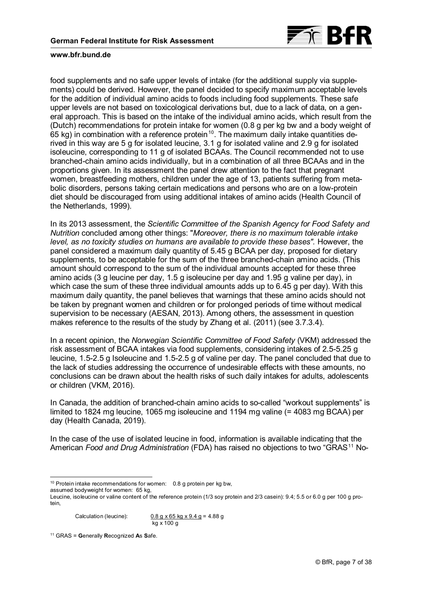

food supplements and no safe upper levels of intake (for the additional supply via supplements) could be derived. However, the panel decided to specify maximum acceptable levels for the addition of individual amino acids to foods including food supplements. These safe upper levels are not based on toxicological derivations but, due to a lack of data, on a general approach. This is based on the intake of the individual amino acids, which result from the (Dutch) recommendations for protein intake for women (0.8 g per kg bw and a body weight of 65 kg) in combination with a reference protein $^{\text{10}}$  $^{\text{10}}$  $^{\text{10}}$ . The maximum daily intake quantities derived in this way are 5 g for isolated leucine, 3.1 g for isolated valine and 2.9 g for isolated isoleucine, corresponding to 11 g of isolated BCAAs. The Council recommended not to use branched-chain amino acids individually, but in a combination of all three BCAAs and in the proportions given. In its assessment the panel drew attention to the fact that pregnant women, breastfeeding mothers, children under the age of 13, patients suffering from metabolic disorders, persons taking certain medications and persons who are on a low-protein diet should be discouraged from using additional intakes of amino acids (Health Council of the Netherlands, 1999).

In its 2013 assessment, the *Scientific Committee of the Spanish Agency for Food Safety and Nutrition* concluded among other things: "*Moreover, there is no maximum tolerable intake level, as no toxicity studies on humans are available to provide these bases"*. However, the panel considered a maximum daily quantity of 5.45 g BCAA per day, proposed for dietary supplements, to be acceptable for the sum of the three branched-chain amino acids. (This amount should correspond to the sum of the individual amounts accepted for these three amino acids (3 g leucine per day, 1.5 g isoleucine per day and 1.95 g valine per day), in which case the sum of these three individual amounts adds up to 6.45 g per day). With this maximum daily quantity, the panel believes that warnings that these amino acids should not be taken by pregnant women and children or for prolonged periods of time without medical supervision to be necessary (AESAN, 2013). Among others, the assessment in question makes reference to the results of the study by Zhang et al. (2011) (see 3.7.3.4).

In a recent opinion, the *Norwegian Scientific Committee of Food Safety* (VKM) addressed the risk assessment of BCAA intakes via food supplements, considering intakes of 2.5-5.25 g leucine, 1.5-2.5 g Isoleucine and 1.5-2.5 g of valine per day. The panel concluded that due to the lack of studies addressing the occurrence of undesirable effects with these amounts, no conclusions can be drawn about the health risks of such daily intakes for adults, adolescents or children (VKM, 2016).

In Canada, the addition of branched-chain amino acids to so-called "workout supplements" is limited to 1824 mg leucine, 1065 mg isoleucine and 1194 mg valine (= 4083 mg BCAA) per day (Health Canada, 2019).

In the case of the use of isolated leucine in food, information is available indicating that the American *Food and Drug Administration* (FDA) has raised no objections to two "GRAS<sup>[11](#page-6-1)</sup> No-

- $10$  Protein intake recommendations for women: 0.8 g protein per kg bw,

<span id="page-6-0"></span>assumed bodyweight for women: 65 kg,

Calculation (leucine):  $0.8 g \times 65 kg \times 9.4 g = 4.88 g$ kg x 100 g

<span id="page-6-1"></span><sup>11</sup> GRAS = **G**enerally **R**ecognized **A**s **S**afe.

Leucine, isoleucine or valine content of the reference protein (1/3 soy protein and 2/3 casein): 9.4; 5.5 or 6.0 g per 100 g protein,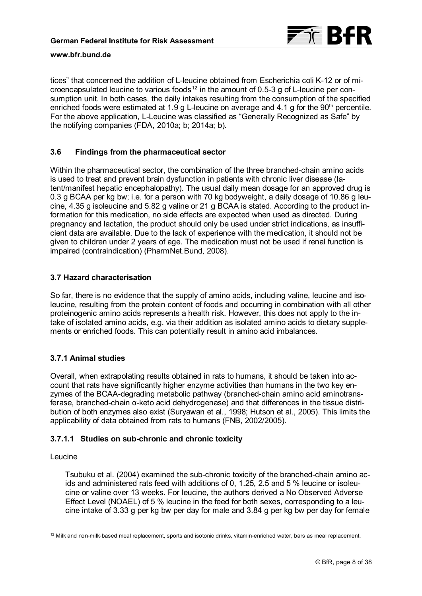

tices" that concerned the addition of L-leucine obtained from Escherichia coli K-12 or of microencapsulated leucine to various foods $^{12}$  $^{12}$  $^{12}$  in the amount of 0.5-3 g of L-leucine per consumption unit. In both cases, the daily intakes resulting from the consumption of the specified enriched foods were estimated at 1.9 g L-leucine on average and 4.1 g for the 90<sup>th</sup> percentile. For the above application, L-Leucine was classified as "Generally Recognized as Safe" by the notifying companies (FDA, 2010a; b; 2014a; b).

# **3.6 Findings from the pharmaceutical sector**

Within the pharmaceutical sector, the combination of the three branched-chain amino acids is used to treat and prevent brain dysfunction in patients with chronic liver disease (latent/manifest hepatic encephalopathy). The usual daily mean dosage for an approved drug is 0.3 g BCAA per kg bw; i.e. for a person with 70 kg bodyweight, a daily dosage of 10.86 g leucine, 4.35 g isoleucine and 5.82 g valine or 21 g BCAA is stated. According to the product information for this medication, no side effects are expected when used as directed. During pregnancy and lactation, the product should only be used under strict indications, as insufficient data are available. Due to the lack of experience with the medication, it should not be given to children under 2 years of age. The medication must not be used if renal function is impaired (contraindication) (PharmNet.Bund, 2008).

# **3.7 Hazard characterisation**

So far, there is no evidence that the supply of amino acids, including valine, leucine and isoleucine, resulting from the protein content of foods and occurring in combination with all other proteinogenic amino acids represents a health risk. However, this does not apply to the intake of isolated amino acids, e.g. via their addition as isolated amino acids to dietary supplements or enriched foods. This can potentially result in amino acid imbalances.

# **3.7.1 Animal studies**

Overall, when extrapolating results obtained in rats to humans, it should be taken into account that rats have significantly higher enzyme activities than humans in the two key enzymes of the BCAA-degrading metabolic pathway (branched-chain amino acid aminotransferase, branched-chain α-keto acid dehydrogenase) and that differences in the tissue distribution of both enzymes also exist (Suryawan et al., 1998; Hutson et al., 2005). This limits the applicability of data obtained from rats to humans (FNB, 2002/2005).

# **3.7.1.1 Studies on sub-chronic and chronic toxicity**

### Leucine

Tsubuku et al. (2004) examined the sub-chronic toxicity of the branched-chain amino acids and administered rats feed with additions of 0, 1.25, 2.5 and 5 % leucine or isoleucine or valine over 13 weeks. For leucine, the authors derived a No Observed Adverse Effect Level (NOAEL) of 5 % leucine in the feed for both sexes, corresponding to a leucine intake of 3.33 g per kg bw per day for male and 3.84 g per kg bw per day for female

<span id="page-7-0"></span><sup>-</sup><sup>12</sup> Milk and non-milk-based meal replacement, sports and isotonic drinks, vitamin-enriched water, bars as meal replacement.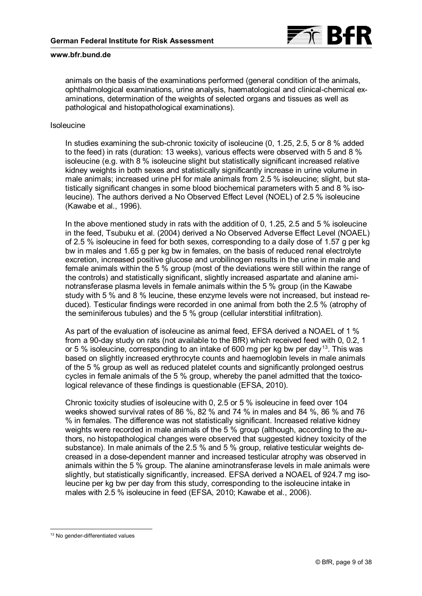

animals on the basis of the examinations performed (general condition of the animals, ophthalmological examinations, urine analysis, haematological and clinical-chemical examinations, determination of the weights of selected organs and tissues as well as pathological and histopathological examinations).

#### Isoleucine

In studies examining the sub-chronic toxicity of isoleucine (0, 1.25, 2.5, 5 or 8 % added to the feed) in rats (duration: 13 weeks), various effects were observed with 5 and 8 % isoleucine (e.g. with 8 % isoleucine slight but statistically significant increased relative kidney weights in both sexes and statistically significantly increase in urine volume in male animals; increased urine pH for male animals from 2.5 % isoleucine; slight, but statistically significant changes in some blood biochemical parameters with 5 and 8 % isoleucine). The authors derived a No Observed Effect Level (NOEL) of 2.5 % isoleucine (Kawabe et al., 1996).

In the above mentioned study in rats with the addition of 0, 1.25, 2.5 and 5 % isoleucine in the feed, Tsubuku et al. (2004) derived a No Observed Adverse Effect Level (NOAEL) of 2.5 % isoleucine in feed for both sexes, corresponding to a daily dose of 1.57 g per kg bw in males and 1.65 g per kg bw in females, on the basis of reduced renal electrolyte excretion, increased positive glucose and urobilinogen results in the urine in male and female animals within the 5 % group (most of the deviations were still within the range of the controls) and statistically significant, slightly increased aspartate and alanine aminotransferase plasma levels in female animals within the 5 % group (in the Kawabe study with 5 % and 8 % leucine, these enzyme levels were not increased, but instead reduced). Testicular findings were recorded in one animal from both the 2.5 % (atrophy of the seminiferous tubules) and the 5 % group (cellular interstitial infiltration).

As part of the evaluation of isoleucine as animal feed, EFSA derived a NOAEL of 1 % from a 90-day study on rats (not available to the BfR) which received feed with 0, 0.2, 1 or 5 % isoleucine, corresponding to an intake of 600 mg per kg bw per day $^{\rm 13}$  $^{\rm 13}$  $^{\rm 13}$ . This was based on slightly increased erythrocyte counts and haemoglobin levels in male animals of the 5 % group as well as reduced platelet counts and significantly prolonged oestrus cycles in female animals of the 5 % group, whereby the panel admitted that the toxicological relevance of these findings is questionable (EFSA, 2010).

Chronic toxicity studies of isoleucine with 0, 2.5 or 5 % isoleucine in feed over 104 weeks showed survival rates of 86 %, 82 % and 74 % in males and 84 %, 86 % and 76 % in females. The difference was not statistically significant. Increased relative kidney weights were recorded in male animals of the 5 % group (although, according to the authors, no histopathological changes were observed that suggested kidney toxicity of the substance). In male animals of the 2.5 % and 5 % group, relative testicular weights decreased in a dose-dependent manner and increased testicular atrophy was observed in animals within the 5 % group. The alanine aminotransferase levels in male animals were slightly, but statistically significantly, increased. EFSA derived a NOAEL of 924.7 mg isoleucine per kg bw per day from this study, corresponding to the isoleucine intake in males with 2.5 % isoleucine in feed (EFSA, 2010; Kawabe et al., 2006).

-

<span id="page-8-0"></span><sup>&</sup>lt;sup>13</sup> No gender-differentiated values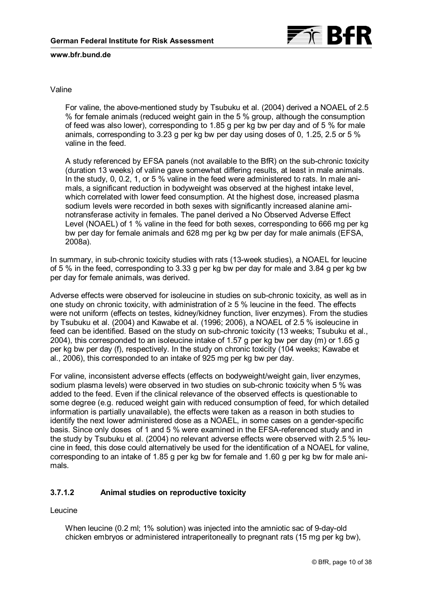

### Valine

For valine, the above-mentioned study by Tsubuku et al. (2004) derived a NOAEL of 2.5 % for female animals (reduced weight gain in the 5 % group, although the consumption of feed was also lower), corresponding to 1.85 g per kg bw per day and of 5 % for male animals, corresponding to 3.23 g per kg bw per day using doses of 0, 1.25, 2.5 or 5 % valine in the feed.

A study referenced by EFSA panels (not available to the BfR) on the sub-chronic toxicity (duration 13 weeks) of valine gave somewhat differing results, at least in male animals. In the study, 0, 0.2, 1, or 5 % valine in the feed were administered to rats. In male animals, a significant reduction in bodyweight was observed at the highest intake level, which correlated with lower feed consumption. At the highest dose, increased plasma sodium levels were recorded in both sexes with significantly increased alanine aminotransferase activity in females. The panel derived a No Observed Adverse Effect Level (NOAEL) of 1 % valine in the feed for both sexes, corresponding to 666 mg per kg bw per day for female animals and 628 mg per kg bw per day for male animals (EFSA, 2008a).

In summary, in sub-chronic toxicity studies with rats (13-week studies), a NOAEL for leucine of 5 % in the feed, corresponding to 3.33 g per kg bw per day for male and 3.84 g per kg bw per day for female animals, was derived.

Adverse effects were observed for isoleucine in studies on sub-chronic toxicity, as well as in one study on chronic toxicity, with administration of  $≥ 5$  % leucine in the feed. The effects were not uniform (effects on testes, kidney/kidney function, liver enzymes). From the studies by Tsubuku et al. (2004) and Kawabe et al. (1996; 2006), a NOAEL of 2.5 % isoleucine in feed can be identified. Based on the study on sub-chronic toxicity (13 weeks; Tsubuku et al., 2004), this corresponded to an isoleucine intake of 1.57 g per kg bw per day (m) or 1.65 g per kg bw per day (f), respectively. In the study on chronic toxicity (104 weeks; Kawabe et al., 2006), this corresponded to an intake of 925 mg per kg bw per day.

For valine, inconsistent adverse effects (effects on bodyweight/weight gain, liver enzymes, sodium plasma levels) were observed in two studies on sub-chronic toxicity when 5 % was added to the feed. Even if the clinical relevance of the observed effects is questionable to some degree (e.g. reduced weight gain with reduced consumption of feed, for which detailed information is partially unavailable), the effects were taken as a reason in both studies to identify the next lower administered dose as a NOAEL, in some cases on a gender-specific basis. Since only doses of 1 and 5 % were examined in the EFSA-referenced study and in the study by Tsubuku et al. (2004) no relevant adverse effects were observed with 2.5 % leucine in feed, this dose could alternatively be used for the identification of a NOAEL for valine, corresponding to an intake of 1.85 g per kg bw for female and 1.60 g per kg bw for male animals.

# **3.7.1.2 Animal studies on reproductive toxicity**

Leucine

When leucine (0.2 ml; 1% solution) was injected into the amniotic sac of 9-day-old chicken embryos or administered intraperitoneally to pregnant rats (15 mg per kg bw),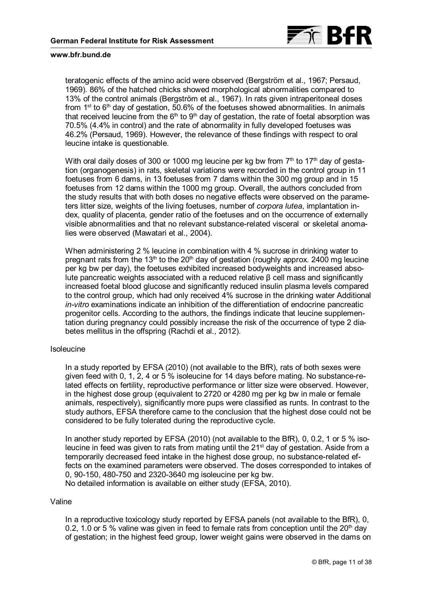

teratogenic effects of the amino acid were observed (Bergström et al., 1967; Persaud, 1969). 86% of the hatched chicks showed morphological abnormalities compared to 13% of the control animals (Bergström et al., 1967). In rats given intraperitoneal doses from 1<sup>st</sup> to  $6<sup>th</sup>$  day of gestation, 50.6% of the foetuses showed abnormalities. In animals that received leucine from the  $6<sup>th</sup>$  to  $9<sup>th</sup>$  day of gestation, the rate of foetal absorption was 70.5% (4.4% in control) and the rate of abnormality in fully developed foetuses was 46.2% (Persaud, 1969). However, the relevance of these findings with respect to oral leucine intake is questionable.

With oral daily doses of 300 or 1000 mg leucine per kg bw from  $7<sup>th</sup>$  to 17<sup>th</sup> day of gestation (organogenesis) in rats, skeletal variations were recorded in the control group in 11 foetuses from 6 dams, in 13 foetuses from 7 dams within the 300 mg group and in 15 foetuses from 12 dams within the 1000 mg group. Overall, the authors concluded from the study results that with both doses no negative effects were observed on the parameters litter size, weights of the living foetuses, number of *corpora lutea*, implantation index, quality of placenta, gender ratio of the foetuses and on the occurrence of externally visible abnormalities and that no relevant substance-related visceral or skeletal anomalies were observed (Mawatari et al., 2004).

When administering 2 % leucine in combination with 4 % sucrose in drinking water to pregnant rats from the 13<sup>th</sup> to the 20<sup>th</sup> day of gestation (roughly approx. 2400 mg leucine per kg bw per day), the foetuses exhibited increased bodyweights and increased absolute pancreatic weights associated with a reduced relative β cell mass and significantly increased foetal blood glucose and significantly reduced insulin plasma levels compared to the control group, which had only received 4% sucrose in the drinking water Additional *in-vitro* examinations indicate an inhibition of the differentiation of endocrine pancreatic progenitor cells. According to the authors, the findings indicate that leucine supplementation during pregnancy could possibly increase the risk of the occurrence of type 2 diabetes mellitus in the offspring (Rachdi et al., 2012).

#### **Isoleucine**

In a study reported by EFSA (2010) (not available to the BfR), rats of both sexes were given feed with 0, 1, 2, 4 or 5 % isoleucine for 14 days before mating. No substance-related effects on fertility, reproductive performance or litter size were observed. However, in the highest dose group (equivalent to 2720 or 4280 mg per kg bw in male or female animals, respectively), significantly more pups were classified as runts. In contrast to the study authors, EFSA therefore came to the conclusion that the highest dose could not be considered to be fully tolerated during the reproductive cycle.

In another study reported by EFSA (2010) (not available to the BfR), 0, 0.2, 1 or 5 % isoleucine in feed was given to rats from mating until the 21<sup>st</sup> day of gestation. Aside from a temporarily decreased feed intake in the highest dose group, no substance-related effects on the examined parameters were observed. The doses corresponded to intakes of 0, 90-150, 480-750 and 2320-3640 mg isoleucine per kg bw. No detailed information is available on either study (EFSA, 2010).

#### Valine

In a reproductive toxicology study reported by EFSA panels (not available to the BfR), 0, 0.2, 1.0 or 5 % valine was given in feed to female rats from conception until the  $20<sup>th</sup>$  day of gestation; in the highest feed group, lower weight gains were observed in the dams on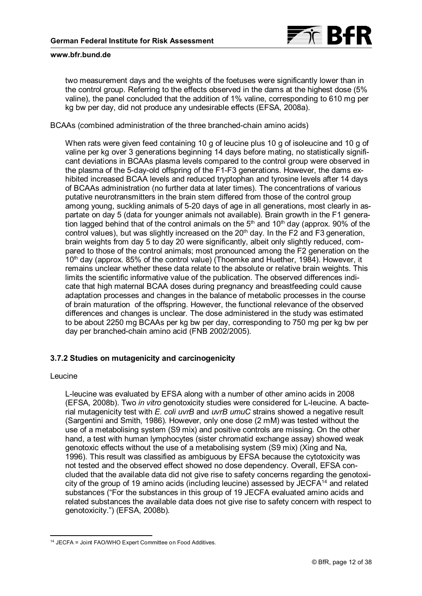

two measurement days and the weights of the foetuses were significantly lower than in the control group. Referring to the effects observed in the dams at the highest dose (5% valine), the panel concluded that the addition of 1% valine, corresponding to 610 mg per kg bw per day, did not produce any undesirable effects (EFSA, 2008a).

BCAAs (combined administration of the three branched-chain amino acids)

When rats were given feed containing 10 g of leucine plus 10 g of isoleucine and 10 g of valine per kg over 3 generations beginning 14 days before mating, no statistically significant deviations in BCAAs plasma levels compared to the control group were observed in the plasma of the 5-day-old offspring of the F1-F3 generations. However, the dams exhibited increased BCAA levels and reduced tryptophan and tyrosine levels after 14 days of BCAAs administration (no further data at later times). The concentrations of various putative neurotransmitters in the brain stem differed from those of the control group among young, suckling animals of 5-20 days of age in all generations, most clearly in aspartate on day 5 (data for younger animals not available). Brain growth in the F1 generation lagged behind that of the control animals on the  $5<sup>th</sup>$  and  $10<sup>th</sup>$  day (approx. 90% of the control values), but was slightly increased on the 20<sup>th</sup> day. In the F2 and F3 generation, brain weights from day 5 to day 20 were significantly, albeit only slightly reduced, compared to those of the control animals; most pronounced among the F2 generation on the  $10<sup>th</sup>$  day (approx. 85% of the control value) (Thoemke and Huether, 1984). However, it remains unclear whether these data relate to the absolute or relative brain weights. This limits the scientific informative value of the publication. The observed differences indicate that high maternal BCAA doses during pregnancy and breastfeeding could cause adaptation processes and changes in the balance of metabolic processes in the course of brain maturation of the offspring. However, the functional relevance of the observed differences and changes is unclear. The dose administered in the study was estimated to be about 2250 mg BCAAs per kg bw per day, corresponding to 750 mg per kg bw per day per branched-chain amino acid (FNB 2002/2005).

### **3.7.2 Studies on mutagenicity and carcinogenicity**

#### Leucine

L-leucine was evaluated by EFSA along with a number of other amino acids in 2008 (EFSA, 2008b). Two *in vitro* genotoxicity studies were considered for L-leucine. A bacterial mutagenicity test with *E. coli uvrB* and *uvrB umuC* strains showed a negative result (Sargentini and Smith, 1986). However, only one dose (2 mM) was tested without the use of a metabolising system (S9 mix) and positive controls are missing. On the other hand, a test with human lymphocytes (sister chromatid exchange assay) showed weak genotoxic effects without the use of a metabolising system (S9 mix) (Xing and Na, 1996). This result was classified as ambiguous by EFSA because the cytotoxicity was not tested and the observed effect showed no dose dependency. Overall, EFSA concluded that the available data did not give rise to safety concerns regarding the genotoxicity of the group of 19 amino acids (including leucine) assessed by JECFA[14](#page-11-0) and related substances ("For the substances in this group of 19 JECFA evaluated amino acids and related substances the available data does not give rise to safety concern with respect to genotoxicity.") (EFSA, 2008b).

<span id="page-11-0"></span><sup>-</sup><sup>14</sup> JECFA = Joint FAO/WHO Expert Committee on Food Additives.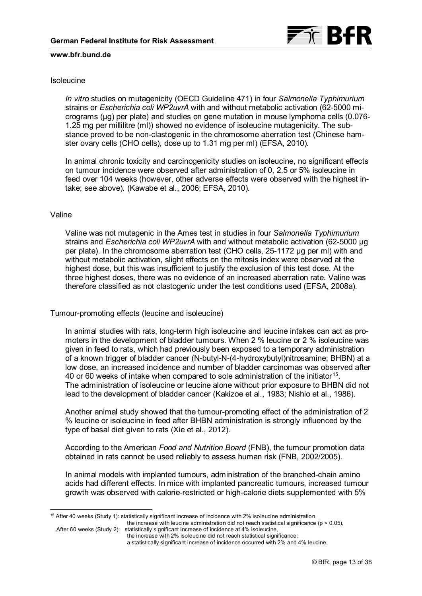

### Isoleucine

*In vitro* studies on mutagenicity (OECD Guideline 471) in four *Salmonella Typhimurium* strains or *Escherichia coli WP2uvrA* with and without metabolic activation (62-5000 micrograms (µg) per plate) and studies on gene mutation in mouse lymphoma cells (0.076- 1.25 mg per millilitre (ml)) showed no evidence of isoleucine mutagenicity. The substance proved to be non-clastogenic in the chromosome aberration test (Chinese hamster ovary cells (CHO cells), dose up to 1.31 mg per ml) (EFSA, 2010).

In animal chronic toxicity and carcinogenicity studies on isoleucine, no significant effects on tumour incidence were observed after administration of 0, 2.5 or 5% isoleucine in feed over 104 weeks (however, other adverse effects were observed with the highest intake; see above). (Kawabe et al., 2006; EFSA, 2010).

#### Valine

Valine was not mutagenic in the Ames test in studies in four *Salmonella Typhimurium* strains and *Escherichia coli WP2uvrA* with and without metabolic activation (62-5000 µg per plate). In the chromosome aberration test (CHO cells, 25-1172 µg per ml) with and without metabolic activation, slight effects on the mitosis index were observed at the highest dose, but this was insufficient to justify the exclusion of this test dose. At the three highest doses, there was no evidence of an increased aberration rate. Valine was therefore classified as not clastogenic under the test conditions used (EFSA, 2008a).

Tumour-promoting effects (leucine and isoleucine)

In animal studies with rats, long-term high isoleucine and leucine intakes can act as promoters in the development of bladder tumours. When 2 % leucine or 2 % isoleucine was given in feed to rats, which had previously been exposed to a temporary administration of a known trigger of bladder cancer (N-butyl-N-(4-hydroxybutyl)nitrosamine; BHBN) at a low dose, an increased incidence and number of bladder carcinomas was observed after 40 or 60 weeks of intake when compared to sole administration of the initiator $^{15}$  $^{15}$  $^{15}$ . The administration of isoleucine or leucine alone without prior exposure to BHBN did not lead to the development of bladder cancer (Kakizoe et al., 1983; Nishio et al., 1986).

Another animal study showed that the tumour-promoting effect of the administration of 2 % leucine or isoleucine in feed after BHBN administration is strongly influenced by the type of basal diet given to rats (Xie et al., 2012).

According to the American *Food and Nutrition Board* (FNB), the tumour promotion data obtained in rats cannot be used reliably to assess human risk (FNB, 2002/2005).

In animal models with implanted tumours, administration of the branched-chain amino acids had different effects. In mice with implanted pancreatic tumours, increased tumour growth was observed with calorie-restricted or high-calorie diets supplemented with 5%

the increase with leucine administration did not reach statistical significance ( $p < 0.05$ ),

-

<span id="page-12-0"></span><sup>15</sup> After 40 weeks (Study 1): statistically significant increase of incidence with 2% isoleucine administration,

After 60 weeks (Study 2): statistically significant increase of incidence at 4% isoleucine, the increase with 2% isoleucine did not reach statistical significance;

a statistically significant increase of incidence occurred with 2% and 4% leucine.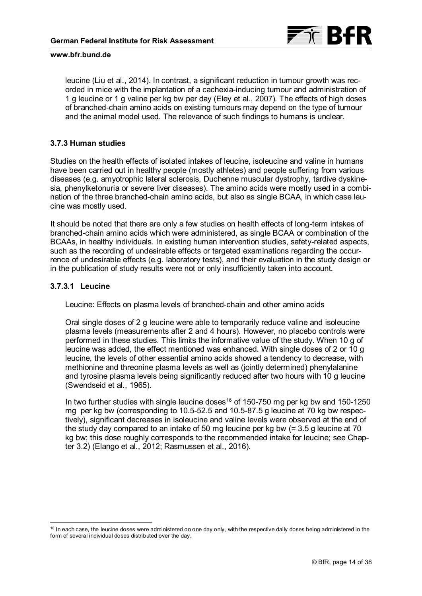

<span id="page-13-1"></span>leucine (Liu et al., 2014). In contrast, a significant reduction in tumour growth was recorded in mice with the implantation of a cachexia-inducing tumour and administration of 1 g leucine or 1 g valine per kg bw per day (Eley et al., 2007). The effects of high doses of branched-chain amino acids on existing tumours may depend on the type of tumour and the animal model used. The relevance of such findings to humans is unclear.

### **3.7.3 Human studies**

Studies on the health effects of isolated intakes of leucine, isoleucine and valine in humans have been carried out in healthy people (mostly athletes) and people suffering from various diseases (e.g. amyotrophic lateral sclerosis, Duchenne muscular dystrophy, tardive dyskinesia, phenylketonuria or severe liver diseases). The amino acids were mostly used in a combination of the three branched-chain amino acids, but also as single BCAA, in which case leucine was mostly used.

It should be noted that there are only a few studies on health effects of long-term intakes of branched-chain amino acids which were administered, as single BCAA or combination of the BCAAs, in healthy individuals. In existing human intervention studies, safety-related aspects, such as the recording of undesirable effects or targeted examinations regarding the occurrence of undesirable effects (e.g. laboratory tests), and their evaluation in the study design or in the publication of study results were not or only insufficiently taken into account.

### **3.7.3.1 Leucine**

-

Leucine: Effects on plasma levels of branched-chain and other amino acids

Oral single doses of 2 g leucine were able to temporarily reduce valine and isoleucine plasma levels (measurements after 2 and 4 hours). However, no placebo controls were performed in these studies. This limits the informative value of the study. When 10 g of leucine was added, the effect mentioned was enhanced. With single doses of 2 or 10 g leucine, the levels of other essential amino acids showed a tendency to decrease, with methionine and threonine plasma levels as well as (jointly determined) phenylalanine and tyrosine plasma levels being significantly reduced after two hours with 10 g leucine (Swendseid et al., 1965).

In two further studies with single leucine doses<sup>[16](#page-13-0)</sup> of 150-750 mg per kg bw and 150-1250 mg per kg bw (corresponding to 10.5-52.5 and 10.5-87.5 g leucine at 70 kg bw respectively), significant decreases in isoleucine and valine levels were observed at the end of the study day compared to an intake of 50 mg leucine per kg bw (= 3.5 g leucine at 70 [kg bw; this dose roughly corresponds to the recommended intake for leucine; see Chap](#page-4-1)ter 3.2) (Elango et al., 2012; Rasmussen et al., 2016).

<span id="page-13-0"></span><sup>&</sup>lt;sup>16</sup> In each case, the leucine doses were administered on one day only, with the respective daily doses being administered in the form of several individual doses distributed over the day.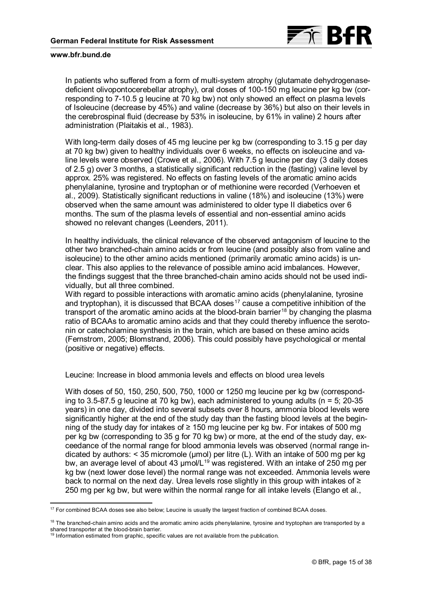

In patients who suffered from a form of multi-system atrophy (glutamate dehydrogenasedeficient olivopontocerebellar atrophy), oral doses of 100-150 mg leucine per kg bw (corresponding to 7-10.5 g leucine at 70 kg bw) not only showed an effect on plasma levels of Isoleucine (decrease by 45%) and valine (decrease by 36%) but also on their levels in the cerebrospinal fluid (decrease by 53% in isoleucine, by 61% in valine) 2 hours after administration (Plaitakis et al., 1983).

With long-term daily doses of 45 mg leucine per kg bw (corresponding to 3.15 g per day at 70 kg bw) given to healthy individuals over 6 weeks, no effects on isoleucine and valine levels were observed (Crowe et al., 2006). With 7.5 g leucine per day (3 daily doses of 2.5 g) over 3 months, a statistically significant reduction in the (fasting) valine level by approx. 25% was registered. No effects on fasting levels of the aromatic amino acids phenylalanine, tyrosine and tryptophan or of methionine were recorded (Verhoeven et al., 2009). Statistically significant reductions in valine (18%) and isoleucine (13%) were observed when the same amount was administered to older type II diabetics over 6 months. The sum of the plasma levels of essential and non-essential amino acids showed no relevant changes (Leenders, 2011).

In healthy individuals, the clinical relevance of the observed antagonism of leucine to the other two branched-chain amino acids or from leucine (and possibly also from valine and isoleucine) to the other amino acids mentioned (primarily aromatic amino acids) is unclear. This also applies to the relevance of possible amino acid imbalances. However, the findings suggest that the three branched-chain amino acids should not be used individually, but all three combined.

With regard to possible interactions with aromatic amino acids (phenylalanine, tyrosine and tryptophan), it is discussed that BCAA doses $^{\rm 17}$  $^{\rm 17}$  $^{\rm 17}$  cause a competitive inhibition of the transport of the aromatic amino acids at the blood-brain barrier<sup>[18](#page-14-1)</sup> by changing the plasma ratio of BCAAs to aromatic amino acids and that they could thereby influence the serotonin or catecholamine synthesis in the brain, which are based on these amino acids (Fernstrom, 2005; Blomstrand, 2006). This could possibly have psychological or mental (positive or negative) effects.

Leucine: Increase in blood ammonia levels and effects on blood urea levels

With doses of 50, 150, 250, 500, 750, 1000 or 1250 mg leucine per kg bw (corresponding to 3.5-87.5 g leucine at 70 kg bw), each administered to young adults ( $n = 5$ ; 20-35 years) in one day, divided into several subsets over 8 hours, ammonia blood levels were significantly higher at the end of the study day than the fasting blood levels at the beginning of the study day for intakes of ≥ 150 mg leucine per kg bw. For intakes of 500 mg per kg bw (corresponding to 35 g for 70 kg bw) or more, at the end of the study day, exceedance of the normal range for blood ammonia levels was observed (normal range indicated by authors:  $\leq$  35 micromole (µmol) per litre (L). With an intake of 500 mg per kg bw, an average level of about 43 µmol/L<sup>[19](#page-14-2)</sup> was registered. With an intake of 250 mg per kg bw (next lower dose level) the normal range was not exceeded. Ammonia levels were back to normal on the next day. Urea levels rose slightly in this group with intakes of ≥ 250 mg per kg bw, but were within the normal range for all intake levels (Elango et al.,

<span id="page-14-0"></span><sup>-</sup><sup>17</sup> For combined BCAA doses see also below; Leucine is usually the largest fraction of combined BCAA doses.

<span id="page-14-1"></span> $18$  The branched-chain amino acids and the aromatic amino acids phenylalanine, tyrosine and tryptophan are transported by a shared transporter at the blood-brain barrier.

<span id="page-14-2"></span> $19$  Information estimated from graphic, specific values are not available from the publication.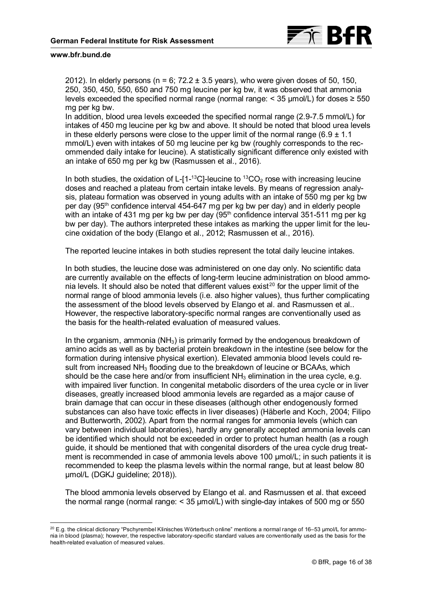-

2012). In elderly persons (n = 6;  $72.2 \pm 3.5$  years), who were given doses of 50, 150, 250, 350, 450, 550, 650 and 750 mg leucine per kg bw, it was observed that ammonia levels exceeded the specified normal range (normal range:  $\leq$  35 µmol/L) for doses  $\geq$  550 mg per kg bw.

In addition, blood urea levels exceeded the specified normal range (2.9-7.5 mmol/L) for intakes of 450 mg leucine per kg bw and above. It should be noted that blood urea levels in these elderly persons were close to the upper limit of the normal range (6.9  $\pm$  1.1 mmol/L) even with intakes of 50 mg leucine per kg bw (roughly corresponds to the recommended daily intake for leucine). A statistically significant difference only existed with an intake of 650 mg per kg bw (Rasmussen et al., 2016).

In both studies, the oxidation of L-[1-<sup>13</sup>C]-leucine to <sup>13</sup>CO<sub>2</sub> rose with increasing leucine doses and reached a plateau from certain intake levels. By means of regression analysis, plateau formation was observed in young adults with an intake of 550 mg per kg bw per day (95th confidence interval 454-647 mg per kg bw per day) and in elderly people with an intake of 431 mg per kg bw per day ( $95<sup>th</sup>$  confidence interval 351-511 mg per kg bw per day). The authors interpreted these intakes as marking the upper limit for the leucine oxidation of the body (Elango et al., 2012; Rasmussen et al., 2016).

The reported leucine intakes in both studies represent the total daily leucine intakes.

In both studies, the leucine dose was administered on one day only. No scientific data are currently available on the effects of long-term leucine administration on blood ammonia levels. It should also be noted that different values exist $^{20}$  $^{20}$  $^{20}$  for the upper limit of the normal range of blood ammonia levels (i.e. also higher values), thus further complicating the assessment of the blood levels observed by Elango et al. and Rasmussen et al.. However, the respective laboratory-specific normal ranges are conventionally used as the basis for the health-related evaluation of measured values.

In the organism, ammonia  $(NH_3)$  is primarily formed by the endogenous breakdown of amino acids as well as by bacterial protein breakdown in the intestine (see below for the formation during intensive physical exertion). Elevated ammonia blood levels could result from increased NH<sub>3</sub> flooding due to the breakdown of leucine or BCAAs, which should be the case here and/or from insufficient  $NH<sub>3</sub>$  elimination in the urea cycle, e.g. with impaired liver function. In congenital metabolic disorders of the urea cycle or in liver diseases, greatly increased blood ammonia levels are regarded as a major cause of brain damage that can occur in these diseases (although other endogenously formed substances can also have toxic effects in liver diseases) (Häberle and Koch, 2004; Filipo and Butterworth, 2002). Apart from the normal ranges for ammonia levels (which can vary between individual laboratories), hardly any generally accepted ammonia levels can be identified which should not be exceeded in order to protect human health (as a rough guide, it should be mentioned that with congenital disorders of the urea cycle drug treatment is recommended in case of ammonia levels above 100 µmol/L; in such patients it is recommended to keep the plasma levels within the normal range, but at least below 80 µmol/L (DGKJ guideline; 2018)).

The blood ammonia levels observed by Elango et al. and Rasmussen et al. that exceed the normal range (normal range:  $<$  35  $\mu$ mol/L) with single-day intakes of 500 mg or 550

<span id="page-15-0"></span> $20$  E.g. the clinical dictionary "Pschyrembel Klinisches Wörterbuch online" mentions a normal range of 16–53 µmol/L for ammonia in blood (plasma); however, the respective laboratory-specific standard values are conventionally used as the basis for the health-related evaluation of measured values.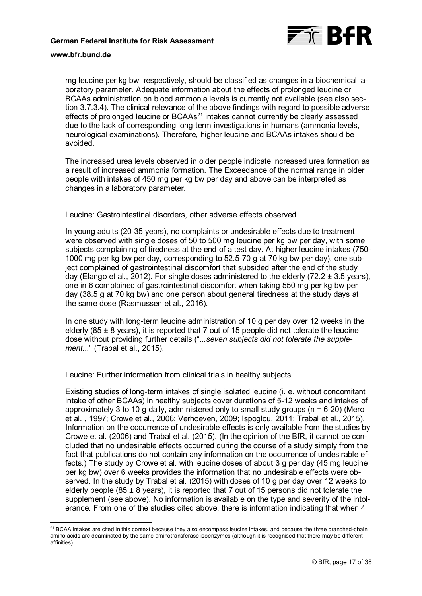

mg leucine per kg bw, respectively, should be classified as changes in a biochemical laboratory parameter. Adequate information about the effects of prolonged leucine or [BCAAs administration on blood ammonia levels is currently not available \(see also sec](#page-19-0)tion 3.7.3.4). The clinical relevance of the above findings with regard to possible adverse effects of prolonged Ieucine or BCAAs<sup>[21](#page-16-0)</sup> intakes cannot currently be clearly assessed due to the lack of corresponding long-term investigations in humans (ammonia levels, neurological examinations). Therefore, higher leucine and BCAAs intakes should be avoided.

The increased urea levels observed in older people indicate increased urea formation as a result of increased ammonia formation. The Exceedance of the normal range in older people with intakes of 450 mg per kg bw per day and above can be interpreted as changes in a laboratory parameter.

Leucine: Gastrointestinal disorders, other adverse effects observed

In young adults (20-35 years), no complaints or undesirable effects due to treatment were observed with single doses of 50 to 500 mg leucine per kg bw per day, with some subjects complaining of tiredness at the end of a test day. At higher leucine intakes (750- 1000 mg per kg bw per day, corresponding to 52.5-70 g at 70 kg bw per day), one subject complained of gastrointestinal discomfort that subsided after the end of the study day (Elango et al., 2012). For single doses administered to the elderly  $(72.2 \pm 3.5 \text{ years})$ , one in 6 complained of gastrointestinal discomfort when taking 550 mg per kg bw per day (38.5 g at 70 kg bw) and one person about general tiredness at the study days at the same dose (Rasmussen et al., 2016).

In one study with long-term leucine administration of 10 g per day over 12 weeks in the elderly  $(85 \pm 8 \text{ years})$ , it is reported that 7 out of 15 people did not tolerate the leucine dose without providing further details (".*..seven subjects did not tolerate the supplement...*" (Trabal et al., 2015).

Leucine: Further information from clinical trials in healthy subjects

Existing studies of long-term intakes of single isolated leucine (i. e. without concomitant intake of other BCAAs) in healthy subjects cover durations of 5-12 weeks and intakes of approximately 3 to 10 g daily, administered only to small study groups ( $n = 6-20$ ) (Mero et al. , 1997; Crowe et al., 2006; Verhoeven, 2009; Ispoglou, 2011; Trabal et al., 2015). Information on the occurrence of undesirable effects is only available from the studies by Crowe et al. (2006) and Trabal et al. (2015). (In the opinion of the BfR, it cannot be concluded that no undesirable effects occurred during the course of a study simply from the fact that publications do not contain any information on the occurrence of undesirable effects.) The study by Crowe et al. with leucine doses of about 3 g per day (45 mg leucine per kg bw) over 6 weeks provides the information that no undesirable effects were observed. In the study by Trabal et al. (2015) with doses of 10 g per day over 12 weeks to elderly people (85  $\pm$  8 years), it is reported that 7 out of 15 persons did not tolerate the supplement (see above). No information is available on the type and severity of the intolerance. From one of the studies cited above, there is information indicating that when 4

<span id="page-16-0"></span><sup>-</sup><sup>21</sup> BCAA intakes are cited in this context because they also encompass leucine intakes, and because the three branched-chain amino acids are deaminated by the same aminotransferase isoenzymes (although it is recognised that there may be different affinities).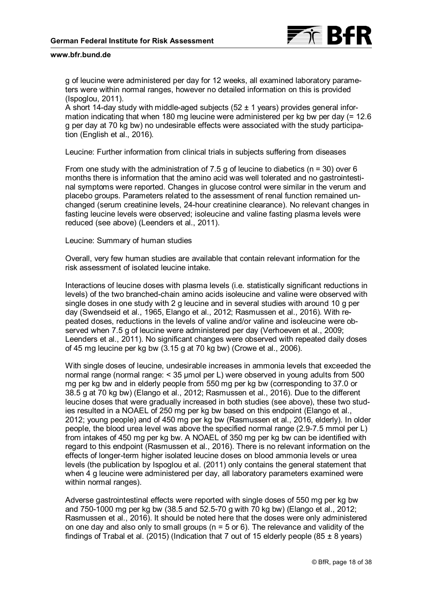

g of leucine were administered per day for 12 weeks, all examined laboratory parameters were within normal ranges, however no detailed information on this is provided (Ispoglou, 2011).

A short 14-day study with middle-aged subjects  $(52 \pm 1 \text{ years})$  provides general information indicating that when 180 mg leucine were administered per kg bw per day (= 12.6 g per day at 70 kg bw) no undesirable effects were associated with the study participation (English et al., 2016).

Leucine: Further information from clinical trials in subjects suffering from diseases

From one study with the administration of 7.5 g of leucine to diabetics ( $n = 30$ ) over 6 months there is information that the amino acid was well tolerated and no gastrointestinal symptoms were reported. Changes in glucose control were similar in the verum and placebo groups. Parameters related to the assessment of renal function remained unchanged (serum creatinine levels, 24-hour creatinine clearance). No relevant changes in fasting leucine levels were observed; isoleucine and valine fasting plasma levels were reduced (see above) (Leenders et al., 2011).

Leucine: Summary of human studies

Overall, very few human studies are available that contain relevant information for the risk assessment of isolated leucine intake.

Interactions of leucine doses with plasma levels (i.e. statistically significant reductions in levels) of the two branched-chain amino acids isoleucine and valine were observed with single doses in one study with 2 g leucine and in several studies with around 10 g per day (Swendseid et al., 1965, Elango et al., 2012; Rasmussen et al., 2016). With repeated doses, reductions in the levels of valine and/or valine and isoleucine were observed when 7.5 g of leucine were administered per day (Verhoeven et al., 2009; Leenders et al., 2011). No significant changes were observed with repeated daily doses of 45 mg leucine per kg bw (3.15 g at 70 kg bw) (Crowe et al., 2006).

With single doses of leucine, undesirable increases in ammonia levels that exceeded the normal range (normal range: < 35 µmol per L) were observed in young adults from 500 mg per kg bw and in elderly people from 550 mg per kg bw (corresponding to 37.0 or 38.5 g at 70 kg bw) (Elango et al., 2012; Rasmussen et al., 2016). Due to the different leucine doses that were gradually increased in both studies (see above), these two studies resulted in a NOAEL of 250 mg per kg bw based on this endpoint (Elango et al., 2012; young people) and of 450 mg per kg bw (Rasmussen et al., 2016, elderly). In older people, the blood urea level was above the specified normal range (2.9-7.5 mmol per L) from intakes of 450 mg per kg bw. A NOAEL of 350 mg per kg bw can be identified with regard to this endpoint (Rasmussen et al., 2016). There is no relevant information on the effects of longer-term higher isolated leucine doses on blood ammonia levels or urea levels (the publication by Ispoglou et al. (2011) only contains the general statement that when 4 g leucine were administered per day, all laboratory parameters examined were within normal ranges).

Adverse gastrointestinal effects were reported with single doses of 550 mg per kg bw and 750-1000 mg per kg bw (38.5 and 52.5-70 g with 70 kg bw) (Elango et al., 2012; Rasmussen et al., 2016). It should be noted here that the doses were only administered on one day and also only to small groups ( $n = 5$  or 6). The relevance and validity of the findings of Trabal et al. (2015) (Indication that 7 out of 15 elderly people (85  $\pm$  8 years)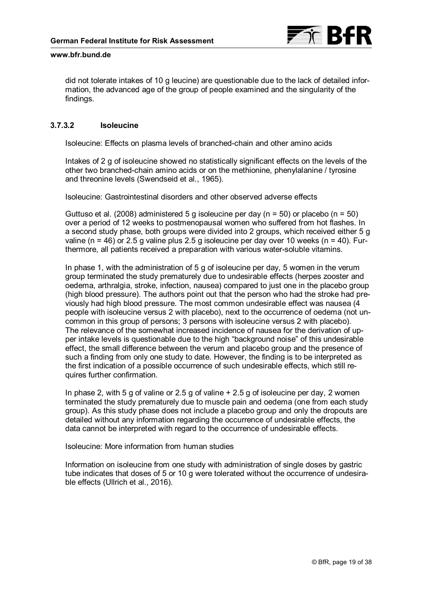

did not tolerate intakes of 10 g leucine) are questionable due to the lack of detailed information, the advanced age of the group of people examined and the singularity of the findings.

### **3.7.3.2 Isoleucine**

Isoleucine: Effects on plasma levels of branched-chain and other amino acids

Intakes of 2 g of isoleucine showed no statistically significant effects on the levels of the other two branched-chain amino acids or on the methionine, phenylalanine / tyrosine and threonine levels (Swendseid et al., 1965).

Isoleucine: Gastrointestinal disorders and other observed adverse effects

Guttuso et al. (2008) administered 5 g isoleucine per day ( $n = 50$ ) or placebo ( $n = 50$ ) over a period of 12 weeks to postmenopausal women who suffered from hot flashes. In a second study phase, both groups were divided into 2 groups, which received either 5 g valine (n = 46) or 2.5 g valine plus 2.5 g isoleucine per day over 10 weeks (n = 40). Furthermore, all patients received a preparation with various water-soluble vitamins.

In phase 1, with the administration of 5 g of isoleucine per day, 5 women in the verum group terminated the study prematurely due to undesirable effects (herpes zooster and oedema, arthralgia, stroke, infection, nausea) compared to just one in the placebo group (high blood pressure). The authors point out that the person who had the stroke had previously had high blood pressure. The most common undesirable effect was nausea (4 people with isoleucine versus 2 with placebo), next to the occurrence of oedema (not uncommon in this group of persons; 3 persons with isoleucine versus 2 with placebo). The relevance of the somewhat increased incidence of nausea for the derivation of upper intake levels is questionable due to the high "background noise" of this undesirable effect, the small difference between the verum and placebo group and the presence of such a finding from only one study to date. However, the finding is to be interpreted as the first indication of a possible occurrence of such undesirable effects, which still requires further confirmation.

In phase 2, with 5 g of valine or 2.5 g of valine + 2.5 g of isoleucine per day, 2 women terminated the study prematurely due to muscle pain and oedema (one from each study group). As this study phase does not include a placebo group and only the dropouts are detailed without any information regarding the occurrence of undesirable effects, the data cannot be interpreted with regard to the occurrence of undesirable effects.

Isoleucine: More information from human studies

Information on isoleucine from one study with administration of single doses by gastric tube indicates that doses of 5 or 10 g were tolerated without the occurrence of undesirable effects (Ullrich et al., 2016).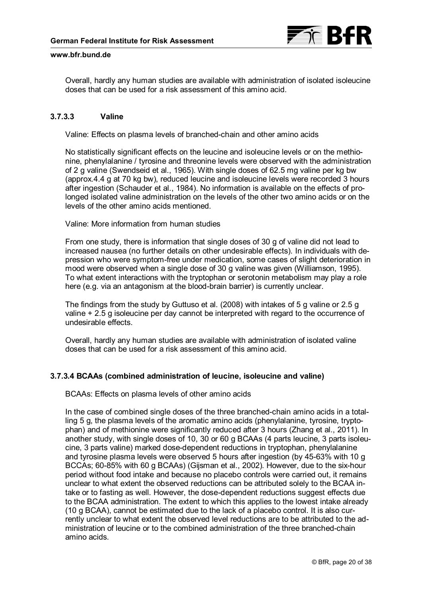

<span id="page-19-0"></span>Overall, hardly any human studies are available with administration of isolated isoleucine doses that can be used for a risk assessment of this amino acid.

### **3.7.3.3 Valine**

Valine: Effects on plasma levels of branched-chain and other amino acids

No statistically significant effects on the leucine and isoleucine levels or on the methionine, phenylalanine / tyrosine and threonine levels were observed with the administration of 2 g valine (Swendseid et al., 1965). With single doses of 62.5 mg valine per kg bw (approx.4.4 g at 70 kg bw), reduced leucine and isoleucine levels were recorded 3 hours after ingestion (Schauder et al., 1984). No information is available on the effects of prolonged isolated valine administration on the levels of the other two amino acids or on the levels of the other amino acids mentioned.

Valine: More information from human studies

From one study, there is information that single doses of 30 g of valine did not lead to increased nausea (no further details on other undesirable effects). In individuals with depression who were symptom-free under medication, some cases of slight deterioration in mood were observed when a single dose of 30 g valine was given (Williamson, 1995). To what extent interactions with the tryptophan or serotonin metabolism may play a role here (e.g. via an antagonism at the blood-brain barrier) is currently unclear.

The findings from the study by Guttuso et al. (2008) with intakes of 5 g valine or 2.5 g valine + 2.5 g isoleucine per day cannot be interpreted with regard to the occurrence of undesirable effects.

Overall, hardly any human studies are available with administration of isolated valine doses that can be used for a risk assessment of this amino acid.

### **3.7.3.4 BCAAs (combined administration of leucine, isoleucine and valine)**

BCAAs: Effects on plasma levels of other amino acids

In the case of combined single doses of the three branched-chain amino acids in a totalling 5 g, the plasma levels of the aromatic amino acids (phenylalanine, tyrosine, tryptophan) and of methionine were significantly reduced after 3 hours (Zhang et al., 2011). In another study, with single doses of 10, 30 or 60 g BCAAs (4 parts leucine, 3 parts isoleucine, 3 parts valine) marked dose-dependent reductions in tryptophan, phenylalanine and tyrosine plasma levels were observed 5 hours after ingestion (by 45-63% with 10 g BCCAs; 60-85% with 60 g BCAAs) (Gijsman et al., 2002). However, due to the six-hour period without food intake and because no placebo controls were carried out, it remains unclear to what extent the observed reductions can be attributed solely to the BCAA intake or to fasting as well. However, the dose-dependent reductions suggest effects due to the BCAA administration. The extent to which this applies to the lowest intake already (10 g BCAA), cannot be estimated due to the lack of a placebo control. It is also currently unclear to what extent the observed level reductions are to be attributed to the administration of leucine or to the combined administration of the three branched-chain amino acids.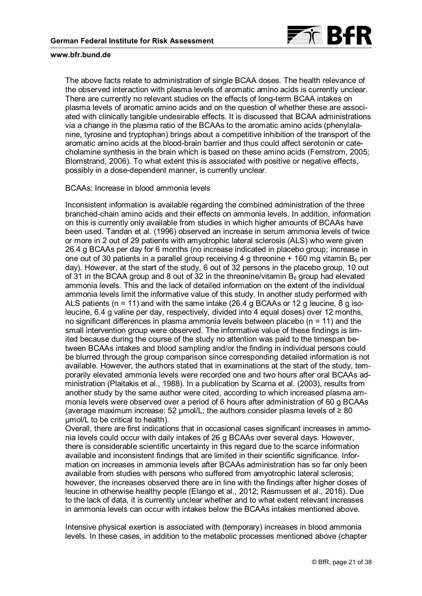

The above facts relate to administration of single BCAA doses. The health relevance of the observed interaction with plasma levels of aromatic amino acids is currently unclear. There are currently no relevant studies on the effects of long-term BCAA intakes on plasma levels of aromatic amino acids and on the question of whether these are associated with clinically tangible undesirable effects. It is discussed that BCAA administrations via a change in the plasma ratio of the BCAAs to the aromatic amino acids (phenylalanine, tyrosine and tryptophan) brings about a competitive inhibition of the transport of the aromatic amino acids at the blood-brain barrier and thus could affect serotonin or catecholamine synthesis in the brain which is based on these amino acids (Fernstrom, 2005; Blomstrand, 2006). To what extent this is associated with positive or negative effects, possibly in a dose-dependent manner, is currently unclear.

### BCAAs: Increase in blood ammonia levels

Inconsistent information is available regarding the combined administration of the three branched-chain amino acids and their effects on ammonia levels. In addition, information on this is currently only available from studies in which higher amounts of BCAAs have been used. Tandan et al. (1996) observed an increase in serum ammonia levels of twice or more in 2 out of 29 patients with amyotrophic lateral sclerosis (ALS) who were given 26.4 g BCAAs per day for 6 months (no increase indicated in placebo group; increase in one out of 30 patients in a parallel group receiving 4 g threonine  $+$  160 mg vitamin B<sub>6</sub> per day). However, at the start of the study, 6 out of 32 persons in the placebo group, 10 out of 31 in the BCAA group and 8 out of 32 in the threonine/vitamin  $B_6$  group had elevated ammonia levels. This and the lack of detailed information on the extent of the individual ammonia levels limit the informative value of this study. In another study performed with ALS patients ( $n = 11$ ) and with the same intake (26.4 g BCAAs or 12 g leucine, 8 g isoleucine, 6.4 g valine per day, respectively, divided into 4 equal doses) over 12 months, no significant differences in plasma ammonia levels between placebo ( $n = 11$ ) and the small intervention group were observed. The informative value of these findings is limited because during the course of the study no attention was paid to the timespan between BCAAs intakes and blood sampling and/or the finding in individual persons could be blurred through the group comparison since corresponding detailed information is not available. However, the authors stated that in examinations at the start of the study, temporarily elevated ammonia levels were recorded one and two hours after oral BCAAs administration (Plaitakis et al., 1988). In a publication by Scarna et al. (2003), results from another study by the same author were cited, according to which increased plasma ammonia levels were observed over a period of 6 hours after administration of 60 g BCAAs (average maximum increase: 52 µmol/L; the authors consider plasma levels of  $\geq 80$ μmol/L to be critical to health).

Overall, there are first indications that in occasional cases significant increases in ammonia levels could occur with daily intakes of 26 g BCAAs over several days. However, there is considerable scientific uncertainty in this regard due to the scarce information available and inconsistent findings that are limited in their scientific significance. Information on increases in ammonia levels after BCAAs administration has so far only been available from studies with persons who suffered from amyotrophic lateral sclerosis; however, the increases observed there are in line with the findings after higher doses of leucine in otherwise healthy people (Elango et al., 2012; Rasmussen et al., 2016). Due to the lack of data, it is currently unclear whether and to what extent relevant increases in ammonia levels can occur with intakes below the BCAAs intakes mentioned above.

Intensive physical exertion is associated with (temporary) increases in blood ammonia levels. In these cases, in addition to the metabolic processes mentioned above (chapter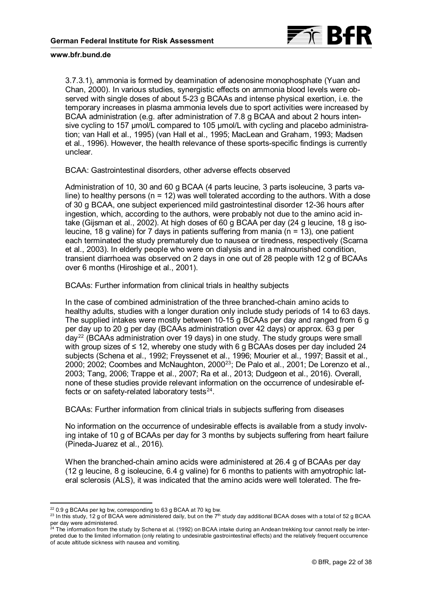

[3.7.3.1\)](#page-13-1), ammonia is formed by deamination of adenosine monophosphate (Yuan and Chan, 2000). In various studies, synergistic effects on ammonia blood levels were observed with single doses of about 5-23 g BCAAs and intense physical exertion, i.e. the temporary increases in plasma ammonia levels due to sport activities were increased by BCAA administration (e.g. after administration of 7.8 g BCAA and about 2 hours intensive cycling to 157 µmol/L compared to 105 µmol/L with cycling and placebo administration; van Hall et al., 1995) (van Hall et al., 1995; MacLean and Graham, 1993; Madsen et al., 1996). However, the health relevance of these sports-specific findings is currently unclear.

BCAA: Gastrointestinal disorders, other adverse effects observed

Administration of 10, 30 and 60 g BCAA (4 parts leucine, 3 parts isoleucine, 3 parts valine) to healthy persons ( $n = 12$ ) was well tolerated according to the authors. With a dose of 30 g BCAA, one subject experienced mild gastrointestinal disorder 12-36 hours after ingestion, which, according to the authors, were probably not due to the amino acid intake (Gijsman et al., 2002). At high doses of 60 g BCAA per day (24 g leucine, 18 g isoleucine, 18 g valine) for 7 days in patients suffering from mania ( $n = 13$ ), one patient each terminated the study prematurely due to nausea or tiredness, respectively (Scarna et al., 2003). In elderly people who were on dialysis and in a malnourished condition, transient diarrhoea was observed on 2 days in one out of 28 people with 12 g of BCAAs over 6 months (Hiroshige et al., 2001).

BCAAs: Further information from clinical trials in healthy subjects

In the case of combined administration of the three branched-chain amino acids to healthy adults, studies with a longer duration only include study periods of 14 to 63 days. The supplied intakes were mostly between 10-15 g BCAAs per day and ranged from 6 g per day up to 20 g per day (BCAAs administration over 42 days) or approx. 63 g per day<sup>[22](#page-21-0)</sup> (BCAAs administration over 19 days) in one study. The study groups were small with group sizes of ≤ 12, whereby one study with 6 g BCAAs doses per day included 24 subjects (Schena et al., 1992; Freyssenet et al., 1996; Mourier et al., 1997; Bassit et al., 2000; 2002; Coombes and McNaughton, 2000<sup>[23](#page-21-1)</sup>; De Palo et al., 2001; De Lorenzo et al., 2003; Tang, 2006; Trappe et al., 2007; Ra et al., 2013; Dudgeon et al., 2016). Overall, none of these studies provide relevant information on the occurrence of undesirable effects or on safety-related laboratory tests $^{24}$  $^{24}$  $^{24}$ .

BCAAs: Further information from clinical trials in subjects suffering from diseases

No information on the occurrence of undesirable effects is available from a study involving intake of 10 g of BCAAs per day for 3 months by subjects suffering from heart failure (Pineda-Juarez et al., 2016).

When the branched-chain amino acids were administered at 26.4 g of BCAAs per day (12 g leucine, 8 g isoleucine, 6.4 g valine) for 6 months to patients with amyotrophic lateral sclerosis (ALS), it was indicated that the amino acids were well tolerated. The fre-

<sup>-</sup> $22$  0.9 g BCAAs per kg bw, corresponding to 63 g BCAA at 70 kg bw.

<span id="page-21-1"></span><span id="page-21-0"></span> $^{23}$  In this study, 12 g of BCAA were administered daily, but on the 7<sup>th</sup> study day additional BCAA doses with a total of 52 g BCAA per day were administered.

<span id="page-21-2"></span><sup>&</sup>lt;sup>24</sup> The information from the study by Schena et al. (1992) on BCAA intake during an Andean trekking tour cannot really be interpreted due to the limited information (only relating to undesirable gastrointestinal effects) and the relatively frequent occurrence of acute altitude sickness with nausea and vomiting.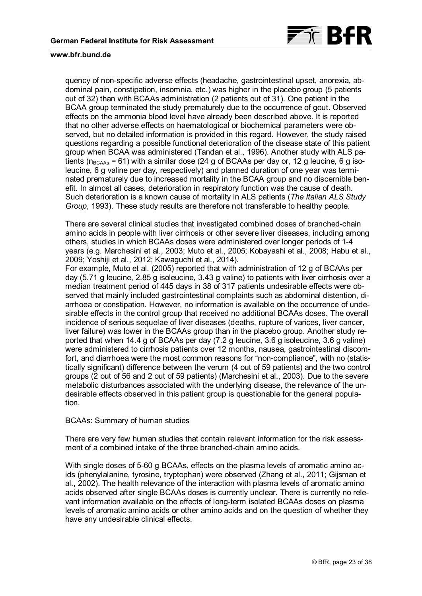

quency of non-specific adverse effects (headache, gastrointestinal upset, anorexia, abdominal pain, constipation, insomnia, etc.) was higher in the placebo group (5 patients out of 32) than with BCAAs administration (2 patients out of 31). One patient in the BCAA group terminated the study prematurely due to the occurrence of gout. Observed effects on the ammonia blood level have already been described above. It is reported that no other adverse effects on haematological or biochemical parameters were observed, but no detailed information is provided in this regard. However, the study raised questions regarding a possible functional deterioration of the disease state of this patient group when BCAA was administered (Tandan et al., 1996). Another study with ALS patients ( $n_{BCAAS}$  = 61) with a similar dose (24 g of BCAAs per day or, 12 g leucine, 6 g isoleucine, 6 g valine per day, respectively) and planned duration of one year was terminated prematurely due to increased mortality in the BCAA group and no discernible benefit. In almost all cases, deterioration in respiratory function was the cause of death. Such deterioration is a known cause of mortality in ALS patients (*The Italian ALS Study Group*, 1993). These study results are therefore not transferable to healthy people.

There are several clinical studies that investigated combined doses of branched-chain amino acids in people with liver cirrhosis or other severe liver diseases, including among others, studies in which BCAAs doses were administered over longer periods of 1-4 years (e.g. Marchesini et al., 2003; Muto et al., 2005; Kobayashi et al., 2008; Habu et al., 2009; Yoshiji et al., 2012; Kawaguchi et al., 2014).

For example, Muto et al. (2005) reported that with administration of 12 g of BCAAs per day (5.71 g leucine, 2.85 g isoleucine, 3.43 g valine) to patients with liver cirrhosis over a median treatment period of 445 days in 38 of 317 patients undesirable effects were observed that mainly included gastrointestinal complaints such as abdominal distention, diarrhoea or constipation. However, no information is available on the occurrence of undesirable effects in the control group that received no additional BCAAs doses. The overall incidence of serious sequelae of liver diseases (deaths, rupture of varices, liver cancer, liver failure) was lower in the BCAAs group than in the placebo group. Another study reported that when 14.4 g of BCAAs per day (7.2 g leucine, 3.6 g isoleucine, 3.6 g valine) were administered to cirrhosis patients over 12 months, nausea, gastrointestinal discomfort, and diarrhoea were the most common reasons for "non-compliance", with no (statistically significant) difference between the verum (4 out of 59 patients) and the two control groups (2 out of 56 and 2 out of 59 patients) (Marchesini et al., 2003). Due to the severe metabolic disturbances associated with the underlying disease, the relevance of the undesirable effects observed in this patient group is questionable for the general population.

#### BCAAs: Summary of human studies

There are very few human studies that contain relevant information for the risk assessment of a combined intake of the three branched-chain amino acids.

With single doses of 5-60 g BCAAs, effects on the plasma levels of aromatic amino acids (phenylalanine, tyrosine, tryptophan) were observed (Zhang et al., 2011; Gijsman et al., 2002). The health relevance of the interaction with plasma levels of aromatic amino acids observed after single BCAAs doses is currently unclear. There is currently no relevant information available on the effects of long-term isolated BCAAs doses on plasma levels of aromatic amino acids or other amino acids and on the question of whether they have any undesirable clinical effects.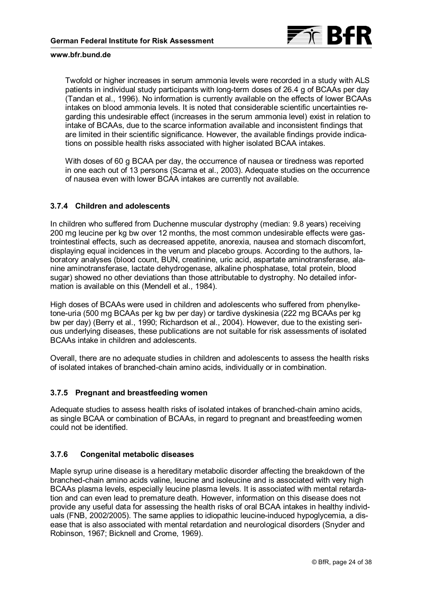

Twofold or higher increases in serum ammonia levels were recorded in a study with ALS patients in individual study participants with long-term doses of 26.4 g of BCAAs per day (Tandan et al., 1996). No information is currently available on the effects of lower BCAAs intakes on blood ammonia levels. It is noted that considerable scientific uncertainties regarding this undesirable effect (increases in the serum ammonia level) exist in relation to intake of BCAAs, due to the scarce information available and inconsistent findings that are limited in their scientific significance. However, the available findings provide indications on possible health risks associated with higher isolated BCAA intakes.

With doses of 60 g BCAA per day, the occurrence of nausea or tiredness was reported in one each out of 13 persons (Scarna et al., 2003). Adequate studies on the occurrence of nausea even with lower BCAA intakes are currently not available.

### **3.7.4 Children and adolescents**

In children who suffered from Duchenne muscular dystrophy (median: 9.8 years) receiving 200 mg leucine per kg bw over 12 months, the most common undesirable effects were gastrointestinal effects, such as decreased appetite, anorexia, nausea and stomach discomfort, displaying equal incidences in the verum and placebo groups. According to the authors, laboratory analyses (blood count, BUN, creatinine, uric acid, aspartate aminotransferase, alanine aminotransferase, lactate dehydrogenase, alkaline phosphatase, total protein, blood sugar) showed no other deviations than those attributable to dystrophy. No detailed information is available on this (Mendell et al., 1984).

High doses of BCAAs were used in children and adolescents who suffered from phenylketone-uria (500 mg BCAAs per kg bw per day) or tardive dyskinesia (222 mg BCAAs per kg bw per day) (Berry et al., 1990; Richardson et al., 2004). However, due to the existing serious underlying diseases, these publications are not suitable for risk assessments of isolated BCAAs intake in children and adolescents.

Overall, there are no adequate studies in children and adolescents to assess the health risks of isolated intakes of branched-chain amino acids, individually or in combination.

### **3.7.5 Pregnant and breastfeeding women**

Adequate studies to assess health risks of isolated intakes of branched-chain amino acids, as single BCAA or combination of BCAAs, in regard to pregnant and breastfeeding women could not be identified.

### **3.7.6 Congenital metabolic diseases**

Maple syrup urine disease is a hereditary metabolic disorder affecting the breakdown of the branched-chain amino acids valine, leucine and isoleucine and is associated with very high BCAAs plasma levels, especially leucine plasma levels. It is associated with mental retardation and can even lead to premature death. However, information on this disease does not provide any useful data for assessing the health risks of oral BCAA intakes in healthy individuals (FNB, 2002/2005). The same applies to idiopathic leucine-induced hypoglycemia, a disease that is also associated with mental retardation and neurological disorders (Snyder and Robinson, 1967; Bicknell and Crome, 1969).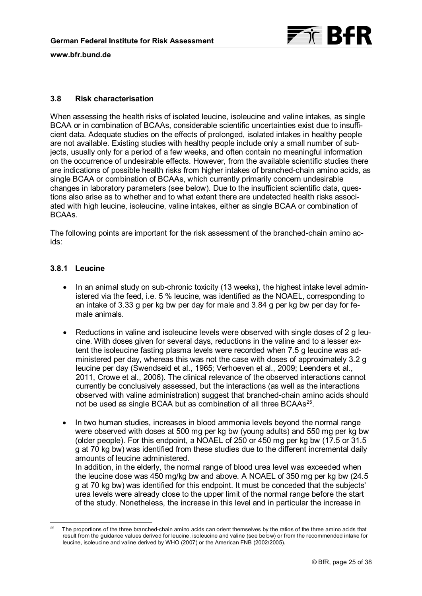

### **3.8 Risk characterisation**

When assessing the health risks of isolated leucine, isoleucine and valine intakes, as single BCAA or in combination of BCAAs, considerable scientific uncertainties exist due to insufficient data. Adequate studies on the effects of prolonged, isolated intakes in healthy people are not available. Existing studies with healthy people include only a small number of subjects, usually only for a period of a few weeks, and often contain no meaningful information on the occurrence of undesirable effects. However, from the available scientific studies there are indications of possible health risks from higher intakes of branched-chain amino acids, as single BCAA or combination of BCAAs, which currently primarily concern undesirable changes in laboratory parameters (see below). Due to the insufficient scientific data, questions also arise as to whether and to what extent there are undetected health risks associated with high leucine, isoleucine, valine intakes, either as single BCAA or combination of BCAAs.

The following points are important for the risk assessment of the branched-chain amino acids:

### **3.8.1 Leucine**

- In an animal study on sub-chronic toxicity (13 weeks), the highest intake level administered via the feed, i.e. 5 % leucine, was identified as the NOAEL, corresponding to an intake of 3.33 g per kg bw per day for male and 3.84 g per kg bw per day for female animals.
- Reductions in valine and isoleucine levels were observed with single doses of 2 g leucine. With doses given for several days, reductions in the valine and to a lesser extent the isoleucine fasting plasma levels were recorded when 7.5 g leucine was administered per day, whereas this was not the case with doses of approximately 3.2 g leucine per day (Swendseid et al., 1965; Verhoeven et al., 2009; Leenders et al., 2011, Crowe et al., 2006). The clinical relevance of the observed interactions cannot currently be conclusively assessed, but the interactions (as well as the interactions observed with valine administration) suggest that branched-chain amino acids should not be used as single BCAA but as combination of all three BCAAs<sup>[25](#page-24-0)</sup>.
- In two human studies, increases in blood ammonia levels beyond the normal range were observed with doses at 500 mg per kg bw (young adults) and 550 mg per kg bw (older people). For this endpoint, a NOAEL of 250 or 450 mg per kg bw (17.5 or 31.5 g at 70 kg bw) was identified from these studies due to the different incremental daily amounts of leucine administered. In addition, in the elderly, the normal range of blood urea level was exceeded when

the leucine dose was 450 mg/kg bw and above. A NOAEL of 350 mg per kg bw (24.5 g at 70 kg bw) was identified for this endpoint. It must be conceded that the subjects' urea levels were already close to the upper limit of the normal range before the start of the study. Nonetheless, the increase in this level and in particular the increase in

<span id="page-24-0"></span><sup>-</sup>25 The proportions of the three branched-chain amino acids can orient themselves by the ratios of the three amino acids that result from the guidance values derived for leucine, isoleucine and valine (see below) or from the recommended intake for leucine, isoleucine and valine derived by WHO (2007) or the American FNB (2002/2005).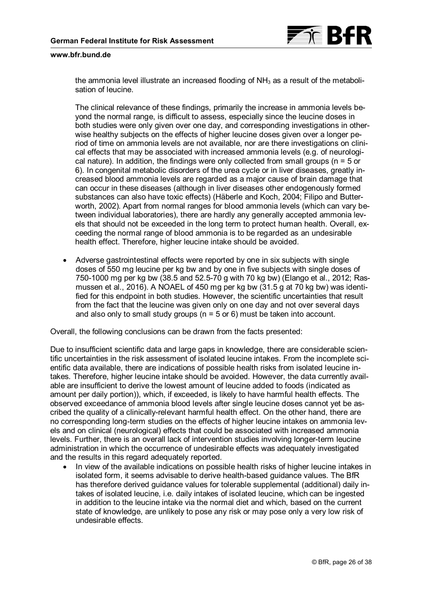

the ammonia level illustrate an increased flooding of  $NH<sub>3</sub>$  as a result of the metabolisation of leucine.

The clinical relevance of these findings, primarily the increase in ammonia levels beyond the normal range, is difficult to assess, especially since the leucine doses in both studies were only given over one day, and corresponding investigations in otherwise healthy subjects on the effects of higher leucine doses given over a longer period of time on ammonia levels are not available, nor are there investigations on clinical effects that may be associated with increased ammonia levels (e.g. of neurological nature). In addition, the findings were only collected from small groups ( $n = 5$  or 6). In congenital metabolic disorders of the urea cycle or in liver diseases, greatly increased blood ammonia levels are regarded as a major cause of brain damage that can occur in these diseases (although in liver diseases other endogenously formed substances can also have toxic effects) (Häberle and Koch, 2004; Filipo and Butterworth, 2002). Apart from normal ranges for blood ammonia levels (which can vary between individual laboratories), there are hardly any generally accepted ammonia levels that should not be exceeded in the long term to protect human health. Overall, exceeding the normal range of blood ammonia is to be regarded as an undesirable health effect. Therefore, higher leucine intake should be avoided.

• Adverse gastrointestinal effects were reported by one in six subjects with single doses of 550 mg leucine per kg bw and by one in five subjects with single doses of 750-1000 mg per kg bw (38.5 and 52.5-70 g with 70 kg bw) (Elango et al., 2012; Rasmussen et al., 2016). A NOAEL of 450 mg per kg bw (31.5 g at 70 kg bw) was identified for this endpoint in both studies. However, the scientific uncertainties that result from the fact that the leucine was given only on one day and not over several days and also only to small study groups ( $n = 5$  or 6) must be taken into account.

Overall, the following conclusions can be drawn from the facts presented:

Due to insufficient scientific data and large gaps in knowledge, there are considerable scientific uncertainties in the risk assessment of isolated leucine intakes. From the incomplete scientific data available, there are indications of possible health risks from isolated leucine intakes. Therefore, higher leucine intake should be avoided. However, the data currently available are insufficient to derive the lowest amount of leucine added to foods (indicated as amount per daily portion)), which, if exceeded, is likely to have harmful health effects. The observed exceedance of ammonia blood levels after single leucine doses cannot yet be ascribed the quality of a clinically-relevant harmful health effect. On the other hand, there are no corresponding long-term studies on the effects of higher leucine intakes on ammonia levels and on clinical (neurological) effects that could be associated with increased ammonia levels. Further, there is an overall lack of intervention studies involving longer-term leucine administration in which the occurrence of undesirable effects was adequately investigated and the results in this regard adequately reported.

• In view of the available indications on possible health risks of higher leucine intakes in isolated form, it seems advisable to derive health-based guidance values. The BfR has therefore derived guidance values for tolerable supplemental (additional) daily intakes of isolated leucine, i.e. daily intakes of isolated leucine, which can be ingested in addition to the leucine intake via the normal diet and which, based on the current state of knowledge, are unlikely to pose any risk or may pose only a very low risk of undesirable effects.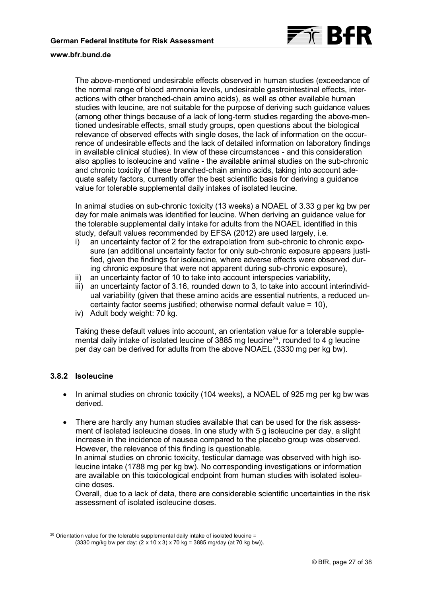

The above-mentioned undesirable effects observed in human studies (exceedance of the normal range of blood ammonia levels, undesirable gastrointestinal effects, interactions with other branched-chain amino acids), as well as other available human studies with leucine, are not suitable for the purpose of deriving such guidance values (among other things because of a lack of long-term studies regarding the above-mentioned undesirable effects, small study groups, open questions about the biological relevance of observed effects with single doses, the lack of information on the occurrence of undesirable effects and the lack of detailed information on laboratory findings in available clinical studies). In view of these circumstances - and this consideration also applies to isoleucine and valine - the available animal studies on the sub-chronic and chronic toxicity of these branched-chain amino acids, taking into account adequate safety factors, currently offer the best scientific basis for deriving a guidance value for tolerable supplemental daily intakes of isolated leucine.

In animal studies on sub-chronic toxicity (13 weeks) a NOAEL of 3.33 g per kg bw per day for male animals was identified for leucine. When deriving an guidance value for the tolerable supplemental daily intake for adults from the NOAEL identified in this study, default values recommended by EFSA (2012) are used largely, i.e.

- i) an uncertainty factor of 2 for the extrapolation from sub-chronic to chronic exposure (an additional uncertainty factor for only sub-chronic exposure appears justified, given the findings for isoleucine, where adverse effects were observed during chronic exposure that were not apparent during sub-chronic exposure),
- ii) an uncertainty factor of 10 to take into account interspecies variability,
- iii) an uncertainty factor of 3.16, rounded down to 3, to take into account interindividual variability (given that these amino acids are essential nutrients, a reduced uncertainty factor seems justified; otherwise normal default value = 10),
- iv) Adult body weight: 70 kg.

Taking these default values into account, an orientation value for a tolerable supplemental daily intake of isolated leucine of 3885 mg leucine[26](#page-26-0) , rounded to 4 g leucine per day can be derived for adults from the above NOAEL (3330 mg per kg bw).

### **3.8.2 Isoleucine**

-

- In animal studies on chronic toxicity (104 weeks), a NOAEL of 925 mg per kg bw was derived.
- There are hardly any human studies available that can be used for the risk assessment of isolated isoleucine doses. In one study with 5 g isoleucine per day, a slight increase in the incidence of nausea compared to the placebo group was observed. However, the relevance of this finding is questionable.

In animal studies on chronic toxicity, testicular damage was observed with high isoleucine intake (1788 mg per kg bw). No corresponding investigations or information are available on this toxicological endpoint from human studies with isolated isoleucine doses.

Overall, due to a lack of data, there are considerable scientific uncertainties in the risk assessment of isolated isoleucine doses.

<span id="page-26-0"></span> $26$  Orientation value for the tolerable supplemental daily intake of isolated leucine = (3330 mg/kg bw per day: (2 x 10 x 3) x 70 kg = 3885 mg/day (at 70 kg bw)).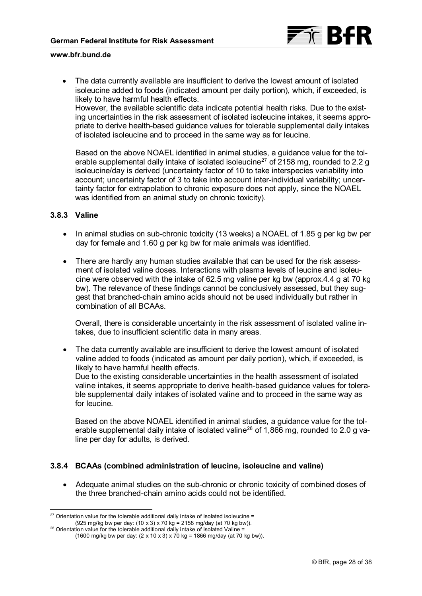

• The data currently available are insufficient to derive the lowest amount of isolated isoleucine added to foods (indicated amount per daily portion), which, if exceeded, is likely to have harmful health effects.

However, the available scientific data indicate potential health risks. Due to the existing uncertainties in the risk assessment of isolated isoleucine intakes, it seems appropriate to derive health-based guidance values for tolerable supplemental daily intakes of isolated isoleucine and to proceed in the same way as for leucine.

Based on the above NOAEL identified in animal studies, a guidance value for the tolerable supplemental daily intake of isolated isoleucine $^{27}$  $^{27}$  $^{27}$  of 2158 mg, rounded to 2.2 g isoleucine/day is derived (uncertainty factor of 10 to take interspecies variability into account; uncertainty factor of 3 to take into account inter-individual variability; uncertainty factor for extrapolation to chronic exposure does not apply, since the NOAEL was identified from an animal study on chronic toxicity).

### **3.8.3 Valine**

- In animal studies on sub-chronic toxicity (13 weeks) a NOAEL of 1.85 g per kg bw per day for female and 1.60 g per kg bw for male animals was identified.
- There are hardly any human studies available that can be used for the risk assessment of isolated valine doses. Interactions with plasma levels of leucine and isoleucine were observed with the intake of 62.5 mg valine per kg bw (approx.4.4 g at 70 kg bw). The relevance of these findings cannot be conclusively assessed, but they suggest that branched-chain amino acids should not be used individually but rather in combination of all BCAAs.

Overall, there is considerable uncertainty in the risk assessment of isolated valine intakes, due to insufficient scientific data in many areas.

• The data currently available are insufficient to derive the lowest amount of isolated valine added to foods (indicated as amount per daily portion), which, if exceeded, is likely to have harmful health effects. Due to the existing considerable uncertainties in the health assessment of isolated

valine intakes, it seems appropriate to derive health-based guidance values for tolerable supplemental daily intakes of isolated valine and to proceed in the same way as for leucine.

Based on the above NOAEL identified in animal studies, a guidance value for the tolerable supplemental daily intake of isolated valine $^{28}$  $^{28}$  $^{28}$  of 1,866 mg, rounded to 2.0 g valine per day for adults, is derived.

### **3.8.4 BCAAs (combined administration of leucine, isoleucine and valine)**

• Adequate animal studies on the sub-chronic or chronic toxicity of combined doses of the three branched-chain amino acids could not be identified.

<span id="page-27-0"></span><sup>-</sup> $27$  Orientation value for the tolerable additional daily intake of isolated isoleucine =

 $(925 \text{ mg/kg})$  bw per day:  $(10 \times 3) \times 70 \text{ kg} = 2158 \text{ mg/day}$  (at 70 kg bw)).

<span id="page-27-1"></span> $28$  Orientation value for the tolerable additional daily intake of isolated Valine = (1600 mg/kg bw per day: (2 x 10 x 3) x 70 kg = 1866 mg/day (at 70 kg bw)).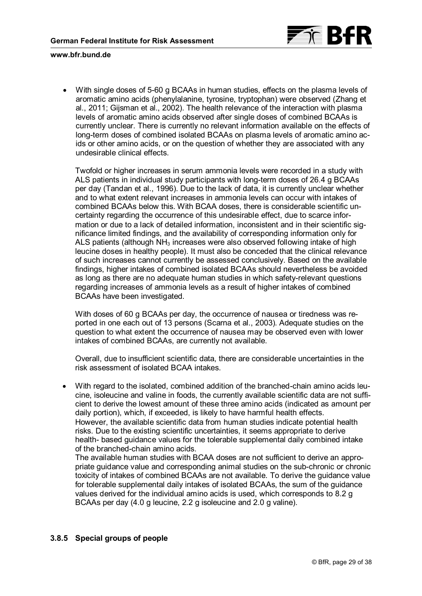

• With single doses of 5-60 g BCAAs in human studies, effects on the plasma levels of aromatic amino acids (phenylalanine, tyrosine, tryptophan) were observed (Zhang et al., 2011; Gijsman et al., 2002). The health relevance of the interaction with plasma levels of aromatic amino acids observed after single doses of combined BCAAs is currently unclear. There is currently no relevant information available on the effects of long-term doses of combined isolated BCAAs on plasma levels of aromatic amino acids or other amino acids, or on the question of whether they are associated with any undesirable clinical effects.

Twofold or higher increases in serum ammonia levels were recorded in a study with ALS patients in individual study participants with long-term doses of 26.4 g BCAAs per day (Tandan et al., 1996). Due to the lack of data, it is currently unclear whether and to what extent relevant increases in ammonia levels can occur with intakes of combined BCAAs below this. With BCAA doses, there is considerable scientific uncertainty regarding the occurrence of this undesirable effect, due to scarce information or due to a lack of detailed information, inconsistent and in their scientific significance limited findings, and the availability of corresponding information only for ALS patients (although NH3 increases were also observed following intake of high leucine doses in healthy people). It must also be conceded that the clinical relevance of such increases cannot currently be assessed conclusively. Based on the available findings, higher intakes of combined isolated BCAAs should nevertheless be avoided as long as there are no adequate human studies in which safety-relevant questions regarding increases of ammonia levels as a result of higher intakes of combined BCAAs have been investigated.

With doses of 60 g BCAAs per day, the occurrence of nausea or tiredness was reported in one each out of 13 persons (Scarna et al., 2003). Adequate studies on the question to what extent the occurrence of nausea may be observed even with lower intakes of combined BCAAs, are currently not available.

Overall, due to insufficient scientific data, there are considerable uncertainties in the risk assessment of isolated BCAA intakes.

• With regard to the isolated, combined addition of the branched-chain amino acids leucine, isoleucine and valine in foods, the currently available scientific data are not sufficient to derive the lowest amount of these three amino acids (indicated as amount per daily portion), which, if exceeded, is likely to have harmful health effects. However, the available scientific data from human studies indicate potential health risks. Due to the existing scientific uncertainties, it seems appropriate to derive health- based guidance values for the tolerable supplemental daily combined intake of the branched-chain amino acids.

The available human studies with BCAA doses are not sufficient to derive an appropriate guidance value and corresponding animal studies on the sub-chronic or chronic toxicity of intakes of combined BCAAs are not available. To derive the guidance value for tolerable supplemental daily intakes of isolated BCAAs, the sum of the guidance values derived for the individual amino acids is used, which corresponds to 8.2 g BCAAs per day (4.0 g leucine, 2.2 g isoleucine and 2.0 g valine).

# **3.8.5 Special groups of people**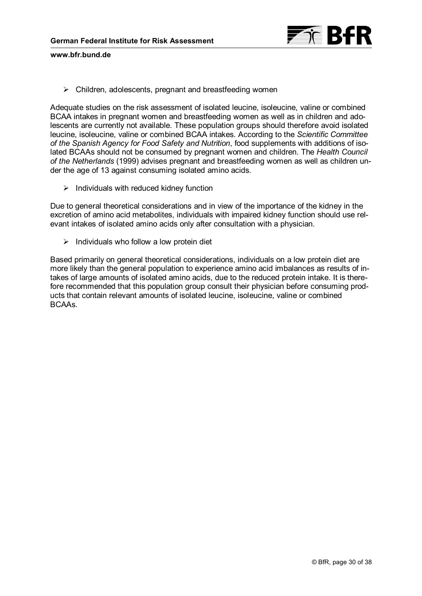

 $\triangleright$  Children, adolescents, pregnant and breastfeeding women

Adequate studies on the risk assessment of isolated leucine, isoleucine, valine or combined BCAA intakes in pregnant women and breastfeeding women as well as in children and adolescents are currently not available. These population groups should therefore avoid isolated leucine, isoleucine, valine or combined BCAA intakes. According to the *Scientific Committee of the Spanish Agency for Food Safety and Nutrition*, food supplements with additions of isolated BCAAs should not be consumed by pregnant women and children. The *Health Council of the Netherlands* (1999) advises pregnant and breastfeeding women as well as children under the age of 13 against consuming isolated amino acids.

 $\triangleright$  Individuals with reduced kidney function

Due to general theoretical considerations and in view of the importance of the kidney in the excretion of amino acid metabolites, individuals with impaired kidney function should use relevant intakes of isolated amino acids only after consultation with a physician.

 $\triangleright$  Individuals who follow a low protein diet

Based primarily on general theoretical considerations, individuals on a low protein diet are more likely than the general population to experience amino acid imbalances as results of intakes of large amounts of isolated amino acids, due to the reduced protein intake. It is therefore recommended that this population group consult their physician before consuming products that contain relevant amounts of isolated leucine, isoleucine, valine or combined BCAAs.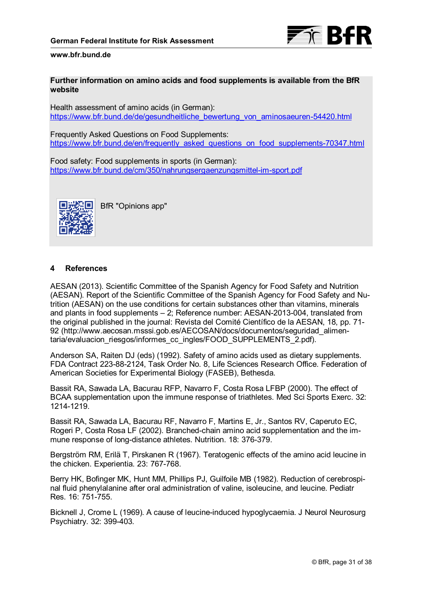

### **Further information on amino acids and food supplements is available from the BfR website**

Health assessment of amino acids (in German): [https://www.bfr.bund.de/de/gesundheitliche\\_bewertung\\_von\\_aminosaeuren-54420.html](https://www.bfr.bund.de/de/gesundheitliche_bewertung_von_aminosaeuren-54420.html)

Frequently Asked Questions on Food Supplements: [https://www.bfr.bund.de/en/frequently\\_asked\\_questions\\_on\\_food\\_supplements-70347.html](https://www.bfr.bund.de/en/frequently_asked_questions_on_food_supplements-70347.html)

Food safety: Food supplements in sports (in German): <https://www.bfr.bund.de/cm/350/nahrungsergaenzungsmittel-im-sport.pdf>



BfR "Opinions app"

### **4 References**

AESAN (2013). Scientific Committee of the Spanish Agency for Food Safety and Nutrition (AESAN). Report of the Scientific Committee of the Spanish Agency for Food Safety and Nutrition (AESAN) on the use conditions for certain substances other than vitamins, minerals and plants in food supplements – 2; Reference number: AESAN-2013-004, translated from the original published in the journal: Revista del Comité Científico de la AESAN, 18, pp. 71- [92 \(http://www.aecosan.msssi.gob.es/AECOSAN/docs/documentos/seguridad\\_alimen](http://www.aecosan.msssi.gob.es/AECOSAN/docs/documentos/seguridad_alimentaria/evaluacion_riesgos/informes_cc_ingles/FOOD_SUPPLEMENTS_2.pdf)taria/evaluacion\_riesgos/informes\_cc\_ingles/FOOD\_SUPPLEMENTS\_2.pdf).

Anderson SA, Raiten DJ (eds) (1992). Safety of amino acids used as dietary supplements. FDA Contract 223-88-2124, Task Order No. 8, Life Sciences Research Office. Federation of American Societies for Experimental Biology (FASEB), Bethesda.

Bassit RA, Sawada LA, Bacurau RFP, Navarro F, Costa Rosa LFBP (2000). The effect of BCAA supplementation upon the immune response of triathletes. Med Sci Sports Exerc. 32: 1214-1219.

Bassit RA, Sawada LA, Bacurau RF, Navarro F, Martins E, Jr., Santos RV, Caperuto EC, Rogeri P, Costa Rosa LF (2002). Branched-chain amino acid supplementation and the immune response of long-distance athletes. Nutrition. 18: 376-379.

Bergström RM, Erilä T, Pirskanen R (1967). Teratogenic effects of the amino acid leucine in the chicken. Experientia. 23: 767-768.

Berry HK, Bofinger MK, Hunt MM, Phillips PJ, Guilfoile MB (1982). Reduction of cerebrospinal fluid phenylalanine after oral administration of valine, isoleucine, and leucine. Pediatr Res. 16: 751-755.

Bicknell J, Crome L (1969). A cause of leucine-induced hypoglycaemia. J Neurol Neurosurg Psychiatry. 32: 399-403.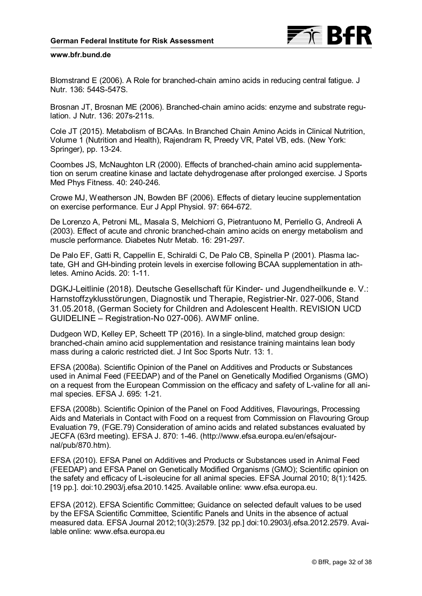

Blomstrand E (2006). A Role for branched-chain amino acids in reducing central fatigue. J Nutr. 136: 544S-547S.

Brosnan JT, Brosnan ME (2006). Branched-chain amino acids: enzyme and substrate regulation. J Nutr. 136: 207s-211s.

Cole JT (2015). Metabolism of BCAAs. In Branched Chain Amino Acids in Clinical Nutrition, Volume 1 (Nutrition and Health), Rajendram R, Preedy VR, Patel VB, eds. (New York: Springer), pp. 13-24.

Coombes JS, McNaughton LR (2000). Effects of branched-chain amino acid supplementation on serum creatine kinase and lactate dehydrogenase after prolonged exercise. J Sports Med Phys Fitness. 40: 240-246.

Crowe MJ, Weatherson JN, Bowden BF (2006). Effects of dietary leucine supplementation on exercise performance. Eur J Appl Physiol. 97: 664-672.

De Lorenzo A, Petroni ML, Masala S, Melchiorri G, Pietrantuono M, Perriello G, Andreoli A (2003). Effect of acute and chronic branched-chain amino acids on energy metabolism and muscle performance. Diabetes Nutr Metab. 16: 291-297.

De Palo EF, Gatti R, Cappellin E, Schiraldi C, De Palo CB, Spinella P (2001). Plasma lactate, GH and GH-binding protein levels in exercise following BCAA supplementation in athletes. Amino Acids. 20: 1-11.

DGKJ-Leitlinie (2018). Deutsche Gesellschaft für Kinder- und Jugendheilkunde e. V.: Harnstoffzyklusstörungen, Diagnostik und Therapie, Registrier-Nr. 027-006, Stand 31.05.2018, (German Society for Children and Adolescent Health. REVISION UCD GUIDELINE – Registration-No 027-006). AWMF online.

Dudgeon WD, Kelley EP, Scheett TP (2016). In a single-blind, matched group design: branched-chain amino acid supplementation and resistance training maintains lean body mass during a caloric restricted diet. J Int Soc Sports Nutr. 13: 1.

EFSA (2008a). Scientific Opinion of the Panel on Additives and Products or Substances used in Animal Feed (FEEDAP) and of the Panel on Genetically Modified Organisms (GMO) on a request from the European Commission on the efficacy and safety of L-valine for all animal species. EFSA J. 695: 1-21.

EFSA (2008b). Scientific Opinion of the Panel on Food Additives, Flavourings, Processing Aids and Materials in Contact with Food on a request from Commission on Flavouring Group Evaluation 79, (FGE.79) Consideration of amino acids and related substances evaluated by [JECFA \(63rd meeting\). EFSA J. 870: 1-46. \(http://www.efsa.europa.eu/en/efsajour](http://www.efsa.europa.eu/en/efsajournal/pub/870.htm)nal/pub/870.htm).

EFSA (2010). EFSA Panel on Additives and Products or Substances used in Animal Feed (FEEDAP) and EFSA Panel on Genetically Modified Organisms (GMO); Scientific opinion on the safety and efficacy of L-isoleucine for all animal species. EFSA Journal 2010; 8(1):1425. [19 pp.]. doi:10.2903/j.efsa.2010.1425. Available online: [www.efsa.europa.eu.](www.efsa.europa.eu)

EFSA (2012). EFSA Scientific Committee; Guidance on selected default values to be used by the EFSA Scientific Committee, Scientific Panels and Units in the absence of actual measured data. EFSA Journal 2012;10(3):2579. [32 pp.] doi:10.2903/j.efsa.2012.2579. Available online: [www.efsa.europa.eu](http://www.efsa.europa.eu)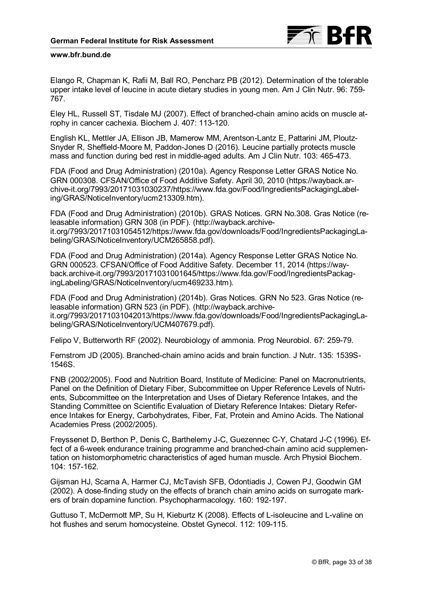

Elango R, Chapman K, Rafii M, Ball RO, Pencharz PB (2012). Determination of the tolerable upper intake level of leucine in acute dietary studies in young men. Am J Clin Nutr. 96: 759- 767.

Eley HL, Russell ST, Tisdale MJ (2007). Effect of branched-chain amino acids on muscle atrophy in cancer cachexia. Biochem J. 407: 113-120.

English KL, Mettler JA, Ellison JB, Mamerow MM, Arentson-Lantz E, Pattarini JM, Ploutz-Snyder R, Sheffield-Moore M, Paddon-Jones D (2016). Leucine partially protects muscle mass and function during bed rest in middle-aged adults. Am J Clin Nutr. 103: 465-473.

FDA (Food and Drug Administration) (2010a). Agency Response Letter GRAS Notice No. GRN 000308. CFSAN/Office of Food Additive Safety. April 30, 2010 (https://wayback.ar[chive-it.org/7993/20171031030237/https://www.fda.gov/Food/IngredientsPackagingLabel](https://wayback.archive-it.org/7993/20171031030237/)ing/GRAS/NoticeInventory/ucm213309.htm).

FDA (Food and Drug Administration) (2010b). GRAS Notices. GRN No.308. Gras Notice (re[leasable information\) GRN 308 \(in PDF\). \(http://wayback.archive](http://wayback.archive-it.org/7993/20171031054512/)[it.org/7993/20171031054512/https://www.fda.gov/downloads/Food/IngredientsPackagingLa](https://www.fda.gov/downloads/Food/IngredientsPackagingLabeling/GRAS/NoticeInventory/UCM265858.pdf)beling/GRAS/NoticeInventory/UCM265858.pdf).

FDA (Food and Drug Administration) (2014a). Agency Response Letter GRAS Notice No. GRN 000523. CFSAN/Office of Food Additive Safety. December 11, 2014 (https://way[back.archive-it.org/7993/20171031001645/https://www.fda.gov/Food/IngredientsPacka](https://way-back.archive-it.org/7993/20171031001645/)[g](https://www.fda.gov/Food/IngredientsPackagingLabeling/GRAS/NoticeInventory/ucm469233.htm)ingLabeling/GRAS/NoticeInventory/ucm469233.htm).

FDA (Food and Drug Administration) (2014b). Gras Notices. GRN No 523. Gras Notice (releasable information) GRN 523 (in PDF). (http://wayback.archive[it.org/7993/20171031042013/https://www.fda.gov/downloads/Fo](http://wayback.archive-it.org/7993/20171031042013/)[od/IngredientsPackagingLa](https://www.fda.gov/downloads/Food/IngredientsPackagingLabeling/GRAS/NoticeInventory/UCM407679.pdf)beling/GRAS/NoticeInventory/UCM407679.pdf).

Felipo V, Butterworth RF (2002). Neurobiology of ammonia. Prog Neurobiol. 67: 259-79.

Fernstrom JD (2005). Branched-chain amino acids and brain function. J Nutr. 135: 1539S-1546S.

FNB (2002/2005). Food and Nutrition Board, Institute of Medicine: Panel on Macronutrients, Panel on the Definition of Dietary Fiber, Subcommittee on Upper Reference Levels of Nutrients, Subcommittee on the Interpretation and Uses of Dietary Reference Intakes, and the Standing Committee on Scientific Evaluation of Dietary Reference Intakes: Dietary Reference Intakes for Energy, Carbohydrates, Fiber, Fat, Protein and Amino Acids. The National Academies Press (2002/2005).

Freyssenet D, Berthon P, Denis C, Barthelemy J-C, Guezennec C-Y, Chatard J-C (1996). Effect of a 6-week endurance training programme and branched-chain amino acid supplementation on histomorphometric characteristics of aged human muscle. Arch Physiol Biochem. 104: 157-162.

Gijsman HJ, Scarna A, Harmer CJ, McTavish SFB, Odontiadis J, Cowen PJ, Goodwin GM (2002). A dose-finding study on the effects of branch chain amino acids on surrogate markers of brain dopamine function. Psychopharmacology. 160: 192-197.

Guttuso T, McDermott MP, Su H, Kieburtz K (2008). Effects of L-isoleucine and L-valine on hot flushes and serum homocysteine. Obstet Gynecol. 112: 109-115.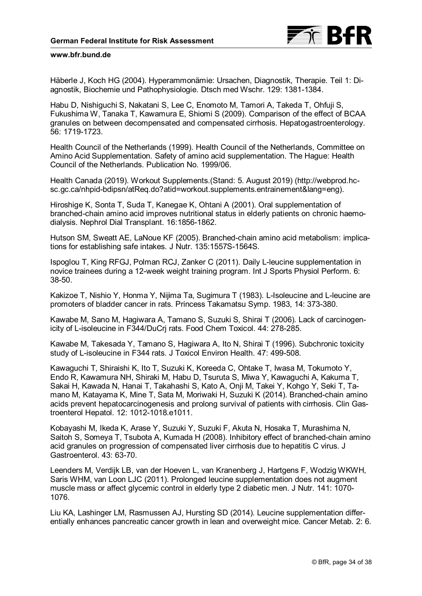

Häberle J, Koch HG (2004). Hyperammonämie: Ursachen, Diagnostik, Therapie. Teil 1: Diagnostik, Biochemie und Pathophysiologie. Dtsch med Wschr. 129: 1381-1384.

Habu D, Nishiguchi S, Nakatani S, Lee C, Enomoto M, Tamori A, Takeda T, Ohfuji S, Fukushima W, Tanaka T, Kawamura E, Shiomi S (2009). Comparison of the effect of BCAA granules on between decompensated and compensated cirrhosis. Hepatogastroenterology. 56: 1719-1723.

Health Council of the Netherlands (1999). Health Council of the Netherlands, Committee on Amino Acid Supplementation. Safety of amino acid supplementation. The Hague: Health Council of the Netherlands. Publication No. 1999/06.

[Health Canada \(2019\). Workout Supplements.\(Stand: 5. August 2019\) \(http://webprod.hc](http://webprod.hcsc.gc.ca/nhpid-bdipsn/atReq.do?atid=workout.supplements.entrainement&lang=eng)sc.gc.ca/nhpid-bdipsn/atReq.do?atid=workout.supplements.entrainement&lang=eng).

Hiroshige K, Sonta T, Suda T, Kanegae K, Ohtani A (2001). Oral supplementation of branched-chain amino acid improves nutritional status in elderly patients on chronic haemodialysis. Nephrol Dial Transplant. 16:1856-1862.

Hutson SM, Sweatt AE, LaNoue KF (2005). Branched-chain amino acid metabolism: implications for establishing safe intakes. J Nutr. 135:1557S-1564S.

Ispoglou T, King RFGJ, Polman RCJ, Zanker C (2011). Daily L-leucine supplementation in novice trainees during a 12-week weight training program. Int J Sports Physiol Perform. 6: 38-50.

Kakizoe T, Nishio Y, Honma Y, Nijima Ta, Sugimura T (1983). L-Isoleucine and L-leucine are promoters of bladder cancer in rats. Princess Takamatsu Symp. 1983, 14: 373-380.

Kawabe M, Sano M, Hagiwara A, Tamano S, Suzuki S, Shirai T (2006). Lack of carcinogenicity of L-isoleucine in F344/DuCrj rats. Food Chem Toxicol. 44: 278-285.

Kawabe M, Takesada Y, Tamano S, Hagiwara A, Ito N, Shirai T (1996). Subchronic toxicity study of L-isoleucine in F344 rats. J Toxicol Environ Health. 47: 499-508.

Kawaguchi T, Shiraishi K, Ito T, Suzuki K, Koreeda C, Ohtake T, Iwasa M, Tokumoto Y, Endo R, Kawamura NH, Shiraki M, Habu D, Tsuruta S, Miwa Y, Kawaguchi A, Kakuma T, Sakai H, Kawada N, Hanai T, Takahashi S, Kato A, Onji M, Takei Y, Kohgo Y, Seki T, Tamano M, Katayama K, Mine T, Sata M, Moriwaki H, Suzuki K (2014). Branched-chain amino acids prevent hepatocarcinogenesis and prolong survival of patients with cirrhosis. Clin Gastroenterol Hepatol. 12: 1012-1018.e1011.

Kobayashi M, Ikeda K, Arase Y, Suzuki Y, Suzuki F, Akuta N, Hosaka T, Murashima N, Saitoh S, Someya T, Tsubota A, Kumada H (2008). Inhibitory effect of branched-chain amino acid granules on progression of compensated liver cirrhosis due to hepatitis C virus. J Gastroenterol. 43: 63-70.

Leenders M, Verdijk LB, van der Hoeven L, van Kranenberg J, Hartgens F, Wodzig WKWH, Saris WHM, van Loon LJC (2011). Prolonged leucine supplementation does not augment muscle mass or affect glycemic control in elderly type 2 diabetic men. J Nutr. 141: 1070- 1076.

Liu KA, Lashinger LM, Rasmussen AJ, Hursting SD (2014). Leucine supplementation differentially enhances pancreatic cancer growth in lean and overweight mice. Cancer Metab. 2: 6.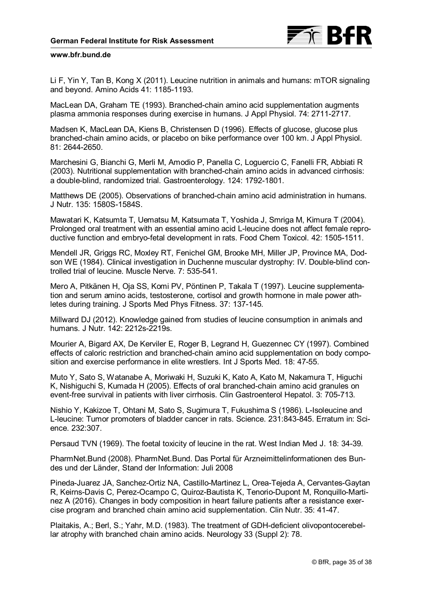

Li F, Yin Y, Tan B, Kong X (2011). Leucine nutrition in animals and humans: mTOR signaling and beyond. Amino Acids 41: 1185-1193.

MacLean DA, Graham TE (1993). Branched-chain amino acid supplementation augments plasma ammonia responses during exercise in humans. J Appl Physiol. 74: 2711-2717.

Madsen K, MacLean DA, Kiens B, Christensen D (1996). Effects of glucose, glucose plus branched-chain amino acids, or placebo on bike performance over 100 km. J Appl Physiol. 81: 2644-2650.

Marchesini G, Bianchi G, Merli M, Amodio P, Panella C, Loguercio C, Fanelli FR, Abbiati R (2003). Nutritional supplementation with branched-chain amino acids in advanced cirrhosis: a double-blind, randomized trial. Gastroenterology. 124: 1792-1801.

Matthews DE (2005). Observations of branched-chain amino acid administration in humans. J Nutr. 135: 1580S-1584S.

Mawatari K, Katsumta T, Uematsu M, Katsumata T, Yoshida J, Smriga M, Kimura T (2004). Prolonged oral treatment with an essential amino acid L-leucine does not affect female reproductive function and embryo-fetal development in rats. Food Chem Toxicol. 42: 1505-1511.

Mendell JR, Griggs RC, Moxley RT, Fenichel GM, Brooke MH, Miller JP, Province MA, Dodson WE (1984). Clinical investigation in Duchenne muscular dystrophy: IV. Double-blind controlled trial of leucine. Muscle Nerve. 7: 535-541.

Mero A, Pitkänen H, Oja SS, Komi PV, Pöntinen P, Takala T (1997). Leucine supplementation and serum amino acids, testosterone, cortisol and growth hormone in male power athletes during training. J Sports Med Phys Fitness. 37: 137-145.

Millward DJ (2012). Knowledge gained from studies of leucine consumption in animals and humans. J Nutr. 142: 2212s-2219s.

Mourier A, Bigard AX, De Kerviler E, Roger B, Legrand H, Guezennec CY (1997). Combined effects of caloric restriction and branched-chain amino acid supplementation on body composition and exercise performance in elite wrestlers. Int J Sports Med. 18: 47-55.

Muto Y, Sato S, Watanabe A, Moriwaki H, Suzuki K, Kato A, Kato M, Nakamura T, Higuchi K, Nishiguchi S, Kumada H (2005). Effects of oral branched-chain amino acid granules on event-free survival in patients with liver cirrhosis. Clin Gastroenterol Hepatol. 3: 705-713.

Nishio Y, Kakizoe T, Ohtani M, Sato S, Sugimura T, Fukushima S (1986). L-Isoleucine and L-leucine: Tumor promoters of bladder cancer in rats. Science. 231:843-845. Erratum in: Science. 232:307.

Persaud TVN (1969). The foetal toxicity of leucine in the rat. West Indian Med J. 18: 34-39.

PharmNet.Bund (2008). PharmNet.Bund. Das Portal für Arzneimittelinformationen des Bundes und der Länder, Stand der Information: Juli 2008

Pineda-Juarez JA, Sanchez-Ortiz NA, Castillo-Martinez L, Orea-Tejeda A, Cervantes-Gaytan R, Keirns-Davis C, Perez-Ocampo C, Quiroz-Bautista K, Tenorio-Dupont M, Ronquillo-Martinez A (2016). Changes in body composition in heart failure patients after a resistance exercise program and branched chain amino acid supplementation. Clin Nutr. 35: 41-47.

Plaitakis, A.; Berl, S.; Yahr, M.D. (1983). The treatment of GDH-deficient olivopontocerebellar atrophy with branched chain amino acids. Neurology 33 (Suppl 2): 78.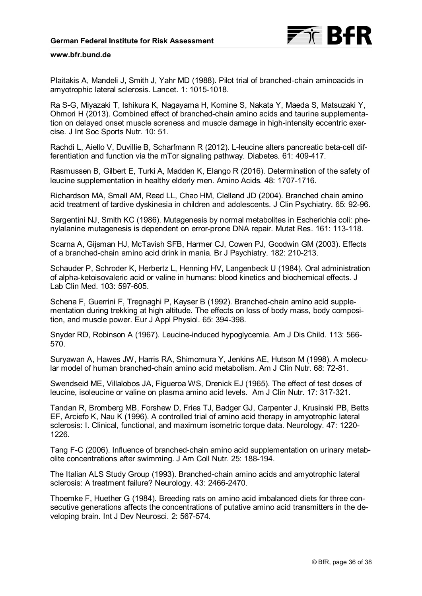

Plaitakis A, Mandeli J, Smith J, Yahr MD (1988). Pilot trial of branched-chain aminoacids in amyotrophic lateral sclerosis. Lancet. 1: 1015-1018.

Ra S-G, Miyazaki T, Ishikura K, Nagayama H, Komine S, Nakata Y, Maeda S, Matsuzaki Y, Ohmori H (2013). Combined effect of branched-chain amino acids and taurine supplementation on delayed onset muscle soreness and muscle damage in high-intensity eccentric exercise. J Int Soc Sports Nutr. 10: 51.

Rachdi L, Aiello V, Duvillie B, Scharfmann R (2012). L-leucine alters pancreatic beta-cell differentiation and function via the mTor signaling pathway. Diabetes. 61: 409-417.

Rasmussen B, Gilbert E, Turki A, Madden K, Elango R (2016). Determination of the safety of leucine supplementation in healthy elderly men. Amino Acids. 48: 1707-1716.

Richardson MA, Small AM, Read LL, Chao HM, Clelland JD (2004). Branched chain amino acid treatment of tardive dyskinesia in children and adolescents. J Clin Psychiatry. 65: 92-96.

Sargentini NJ, Smith KC (1986). Mutagenesis by normal metabolites in Escherichia coli: phenylalanine mutagenesis is dependent on error-prone DNA repair. Mutat Res. 161: 113-118.

Scarna A, Gijsman HJ, McTavish SFB, Harmer CJ, Cowen PJ, Goodwin GM (2003). Effects of a branched-chain amino acid drink in mania. Br J Psychiatry. 182: 210-213.

Schauder P, Schroder K, Herbertz L, Henning HV, Langenbeck U (1984). Oral administration of alpha-ketoisovaleric acid or valine in humans: blood kinetics and biochemical effects. J Lab Clin Med. 103: 597-605.

Schena F, Guerrini F, Tregnaghi P, Kayser B (1992). Branched-chain amino acid supplementation during trekking at high altitude. The effects on loss of body mass, body composition, and muscle power. Eur J Appl Physiol. 65: 394-398.

Snyder RD, Robinson A (1967). Leucine-induced hypoglycemia. Am J Dis Child. 113: 566- 570.

Suryawan A, Hawes JW, Harris RA, Shimomura Y, Jenkins AE, Hutson M (1998). A molecular model of human branched-chain amino acid metabolism. Am J Clin Nutr. 68: 72-81.

Swendseid ME, Villalobos JA, Figueroa WS, Drenick EJ (1965). The effect of test doses of leucine, isoleucine or valine on plasma amino acid levels. Am J Clin Nutr. 17: 317-321.

Tandan R, Bromberg MB, Forshew D, Fries TJ, Badger GJ, Carpenter J, Krusinski PB, Betts EF, Arciefo K, Nau K (1996). A controlled trial of amino acid therapy in amyotrophic lateral sclerosis: I. Clinical, functional, and maximum isometric torque data. Neurology. 47: 1220- 1226.

Tang F-C (2006). Influence of branched-chain amino acid supplementation on urinary metabolite concentrations after swimming. J Am Coll Nutr. 25: 188-194.

The Italian ALS Study Group (1993). Branched-chain amino acids and amyotrophic lateral sclerosis: A treatment failure? Neurology. 43: 2466-2470.

Thoemke F, Huether G (1984). Breeding rats on amino acid imbalanced diets for three consecutive generations affects the concentrations of putative amino acid transmitters in the developing brain. Int J Dev Neurosci. 2: 567-574.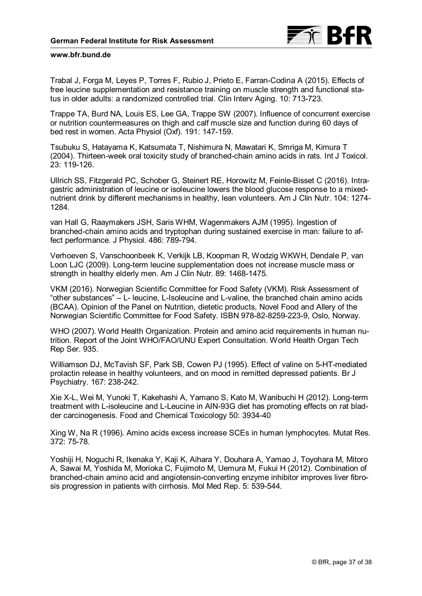

Trabal J, Forga M, Leyes P, Torres F, Rubio J, Prieto E, Farran-Codina A (2015). Effects of free leucine supplementation and resistance training on muscle strength and functional status in older adults: a randomized controlled trial. Clin Interv Aging. 10: 713-723.

Trappe TA, Burd NA, Louis ES, Lee GA, Trappe SW (2007). Influence of concurrent exercise or nutrition countermeasures on thigh and calf muscle size and function during 60 days of bed rest in women. Acta Physiol (Oxf). 191: 147-159.

Tsubuku S, Hatayama K, Katsumata T, Nishimura N, Mawatari K, Smriga M, Kimura T (2004). Thirteen-week oral toxicity study of branched-chain amino acids in rats. Int J Toxicol. 23: 119-126.

Ullrich SS, Fitzgerald PC, Schober G, Steinert RE, Horowitz M, Feinle-Bisset C (2016). Intragastric administration of leucine or isoleucine lowers the blood glucose response to a mixednutrient drink by different mechanisms in healthy, lean volunteers. Am J Clin Nutr. 104: 1274- 1284.

van Hall G, Raaymakers JSH, Saris WHM, Wagenmakers AJM (1995). Ingestion of branched-chain amino acids and tryptophan during sustained exercise in man: failure to affect performance. J Physiol. 486: 789-794.

Verhoeven S, Vanschoonbeek K, Verkijk LB, Koopman R, Wodzig WKWH, Dendale P, van Loon LJC (2009). Long-term leucine supplementation does not increase muscle mass or strength in healthy elderly men. Am J Clin Nutr. 89: 1468-1475.

VKM (2016). Norwegian Scientific Committee for Food Safety (VKM). Risk Assessment of "other substances" – L- leucine, L-Isoleucine and L-valine, the branched chain amino acids (BCAA). Opinion of the Panel on Nutrition, dietetic products, Novel Food and Allery of the Norwegian Scientific Committee for Food Safety. ISBN 978-82-8259-223-9, Oslo, Norway.

WHO (2007). World Health Organization. Protein and amino acid requirements in human nutrition. Report of the Joint WHO/FAO/UNU Expert Consultation. World Health Organ Tech Rep Ser. 935.

Williamson DJ, McTavish SF, Park SB, Cowen PJ (1995). Effect of valine on 5-HT-mediated prolactin release in healthy volunteers, and on mood in remitted depressed patients. Br J Psychiatry. 167: 238-242.

Xie X-L, Wei M, Yunoki T, Kakehashi A, Yamano S, Kato M, Wanibuchi H (2012). Long-term treatment with L-isoleucine and L-Leucine in AIN-93G diet has promoting effects on rat bladder carcinogenesis. Food and Chemical Toxicology 50: 3934-40

Xing W, Na R (1996). Amino acids excess increase SCEs in human lymphocytes. Mutat Res. 372: 75-78.

Yoshiji H, Noguchi R, Ikenaka Y, Kaji K, Aihara Y, Douhara A, Yamao J, Toyohara M, Mitoro A, Sawai M, Yoshida M, Morioka C, Fujimoto M, Uemura M, Fukui H (2012). Combination of branched-chain amino acid and angiotensin-converting enzyme inhibitor improves liver fibrosis progression in patients with cirrhosis. Mol Med Rep. 5: 539-544.